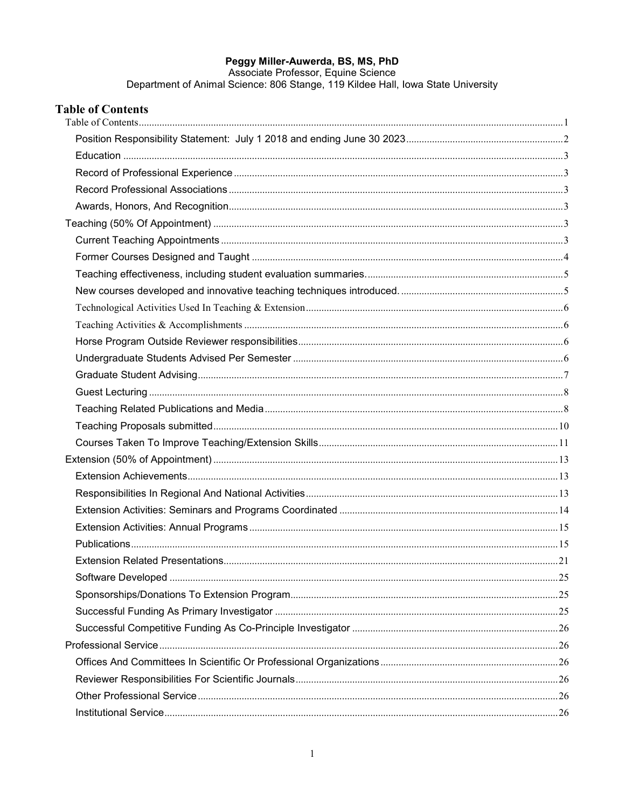Peggy Miller-Auwerda, BS, MS, PhD<br>Associate Professor, Equine Science<br>Department of Animal Science: 806 Stange, 119 Kildee Hall, Iowa State University

<span id="page-0-0"></span>

| <b>Table of Contents</b> |  |
|--------------------------|--|
|                          |  |
|                          |  |
|                          |  |
|                          |  |
|                          |  |
|                          |  |
|                          |  |
|                          |  |
|                          |  |
|                          |  |
|                          |  |
|                          |  |
|                          |  |
|                          |  |
|                          |  |
|                          |  |
|                          |  |
|                          |  |
|                          |  |
|                          |  |
|                          |  |
|                          |  |
|                          |  |
|                          |  |
|                          |  |
|                          |  |
|                          |  |
|                          |  |
|                          |  |
|                          |  |
|                          |  |
|                          |  |
|                          |  |
|                          |  |
|                          |  |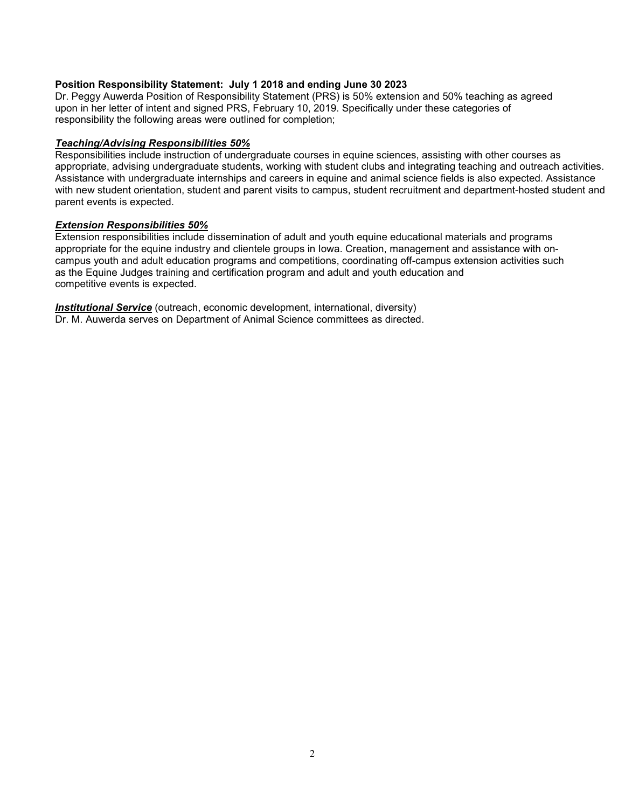## <span id="page-1-0"></span>**Position Responsibility Statement: July 1 2018 and ending June 30 2023**

Dr. Peggy Auwerda Position of Responsibility Statement (PRS) is 50% extension and 50% teaching as agreed upon in her letter of intent and signed PRS, February 10, 2019. Specifically under these categories of responsibility the following areas were outlined for completion;

## *Teaching/Advising Responsibilities 50%*

Responsibilities include instruction of undergraduate courses in equine sciences, assisting with other courses as appropriate, advising undergraduate students, working with student clubs and integrating teaching and outreach activities. Assistance with undergraduate internships and careers in equine and animal science fields is also expected. Assistance with new student orientation, student and parent visits to campus, student recruitment and department-hosted student and parent events is expected.

## *Extension Responsibilities 50%*

Extension responsibilities include dissemination of adult and youth equine educational materials and programs appropriate for the equine industry and clientele groups in Iowa. Creation, management and assistance with oncampus youth and adult education programs and competitions, coordinating off-campus extension activities such as the Equine Judges training and certification program and adult and youth education and competitive events is expected.

*Institutional Service* (outreach, economic development, international, diversity) Dr. M. Auwerda serves on Department of Animal Science committees as directed.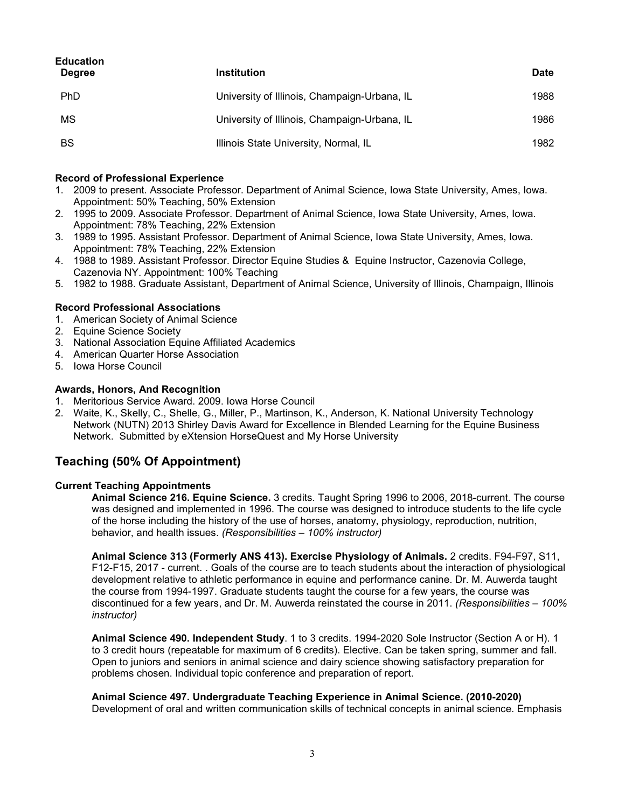<span id="page-2-0"></span>

| <b>Education</b><br><b>Degree</b> | <b>Institution</b>                           | Date |
|-----------------------------------|----------------------------------------------|------|
| <b>PhD</b>                        | University of Illinois, Champaign-Urbana, IL | 1988 |
| <b>MS</b>                         | University of Illinois, Champaign-Urbana, IL | 1986 |
| BS                                | Illinois State University, Normal, IL        | 1982 |

#### <span id="page-2-1"></span>**Record of Professional Experience**

- 1. 2009 to present. Associate Professor. Department of Animal Science, Iowa State University, Ames, Iowa. Appointment: 50% Teaching, 50% Extension
- 2. 1995 to 2009. Associate Professor. Department of Animal Science, Iowa State University, Ames, Iowa. Appointment: 78% Teaching, 22% Extension
- 3. 1989 to 1995. Assistant Professor. Department of Animal Science, Iowa State University, Ames, Iowa. Appointment: 78% Teaching, 22% Extension
- 4. 1988 to 1989. Assistant Professor. Director Equine Studies & Equine Instructor, Cazenovia College, Cazenovia NY. Appointment: 100% Teaching
- 5. 1982 to 1988. Graduate Assistant, Department of Animal Science, University of Illinois, Champaign, Illinois

#### <span id="page-2-2"></span>**Record Professional Associations**

- 1. American Society of Animal Science
- 2. Equine Science Society
- 3. National Association Equine Affiliated Academics
- 4. American Quarter Horse Association
- 5. Iowa Horse Council

#### <span id="page-2-3"></span>**Awards, Honors, And Recognition**

- 1. Meritorious Service Award. 2009. Iowa Horse Council
- 2. Waite, K., Skelly, C., Shelle, G., Miller, P., Martinson, K., Anderson, K. National University Technology Network (NUTN) 2013 Shirley Davis Award for Excellence in Blended Learning for the Equine Business Network. Submitted by eXtension HorseQuest and My Horse University

# <span id="page-2-4"></span>**Teaching (50% Of Appointment)**

#### <span id="page-2-5"></span>**Current Teaching Appointments**

**Animal Science 216. Equine Science.** 3 credits. Taught Spring 1996 to 2006, 2018-current. The course was designed and implemented in 1996. The course was designed to introduce students to the life cycle of the horse including the history of the use of horses, anatomy, physiology, reproduction, nutrition, behavior, and health issues. *(Responsibilities – 100% instructor)*

**Animal Science 313 (Formerly ANS 413). Exercise Physiology of Animals.** 2 credits. F94-F97, S11, F12-F15, 2017 - current. . Goals of the course are to teach students about the interaction of physiological development relative to athletic performance in equine and performance canine. Dr. M. Auwerda taught the course from 1994-1997. Graduate students taught the course for a few years, the course was discontinued for a few years, and Dr. M. Auwerda reinstated the course in 2011. *(Responsibilities – 100% instructor)*

**Animal Science 490. Independent Study**. 1 to 3 credits. 1994-2020 Sole Instructor (Section A or H). 1 to 3 credit hours (repeatable for maximum of 6 credits). Elective. Can be taken spring, summer and fall. Open to juniors and seniors in animal science and dairy science showing satisfactory preparation for problems chosen. Individual topic conference and preparation of report.

**Animal Science 497. Undergraduate Teaching Experience in Animal Science. (2010-2020)** Development of oral and written communication skills of technical concepts in animal science. Emphasis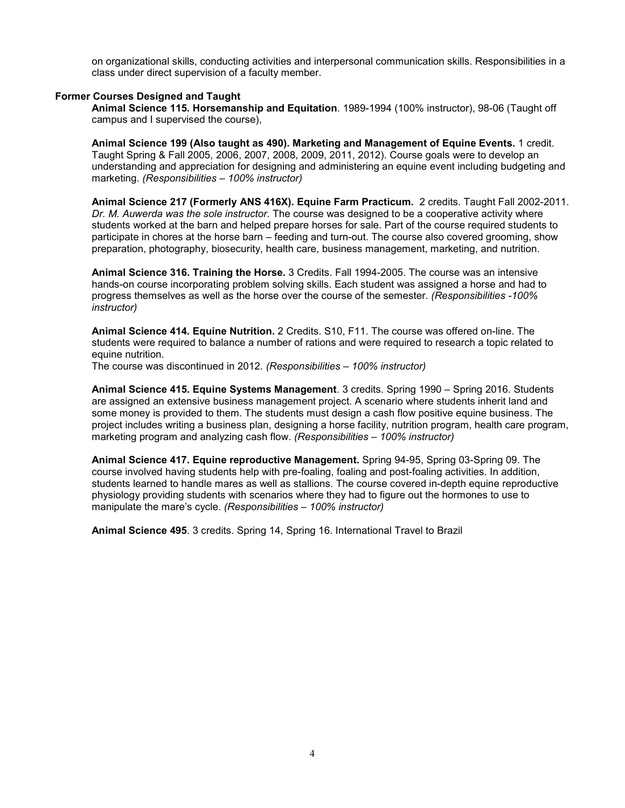on organizational skills, conducting activities and interpersonal communication skills. Responsibilities in a class under direct supervision of a faculty member.

#### <span id="page-3-0"></span>**Former Courses Designed and Taught**

**Animal Science 115. Horsemanship and Equitation**. 1989-1994 (100% instructor), 98-06 (Taught off campus and I supervised the course),

**Animal Science 199 (Also taught as 490). Marketing and Management of Equine Events.** 1 credit. Taught Spring & Fall 2005, 2006, 2007, 2008, 2009, 2011, 2012). Course goals were to develop an understanding and appreciation for designing and administering an equine event including budgeting and marketing. *(Responsibilities – 100% instructor)* 

**Animal Science 217 (Formerly ANS 416X). Equine Farm Practicum.** 2 credits. Taught Fall 2002-2011. *Dr. M. Auwerda was the sole instructor*. The course was designed to be a cooperative activity where students worked at the barn and helped prepare horses for sale. Part of the course required students to participate in chores at the horse barn – feeding and turn-out. The course also covered grooming, show preparation, photography, biosecurity, health care, business management, marketing, and nutrition.

**Animal Science 316. Training the Horse.** 3 Credits. Fall 1994-2005. The course was an intensive hands-on course incorporating problem solving skills. Each student was assigned a horse and had to progress themselves as well as the horse over the course of the semester. *(Responsibilities -100% instructor)*

**Animal Science 414. Equine Nutrition.** 2 Credits. S10, F11. The course was offered on-line. The students were required to balance a number of rations and were required to research a topic related to equine nutrition.

The course was discontinued in 2012. *(Responsibilities – 100% instructor)*

**Animal Science 415. Equine Systems Management**. 3 credits. Spring 1990 – Spring 2016. Students are assigned an extensive business management project. A scenario where students inherit land and some money is provided to them. The students must design a cash flow positive equine business. The project includes writing a business plan, designing a horse facility, nutrition program, health care program, marketing program and analyzing cash flow. *(Responsibilities – 100% instructor)*

**Animal Science 417. Equine reproductive Management.** Spring 94-95, Spring 03-Spring 09. The course involved having students help with pre-foaling, foaling and post-foaling activities. In addition, students learned to handle mares as well as stallions. The course covered in-depth equine reproductive physiology providing students with scenarios where they had to figure out the hormones to use to manipulate the mare's cycle. *(Responsibilities – 100% instructor)*

**Animal Science 495**. 3 credits. Spring 14, Spring 16. International Travel to Brazil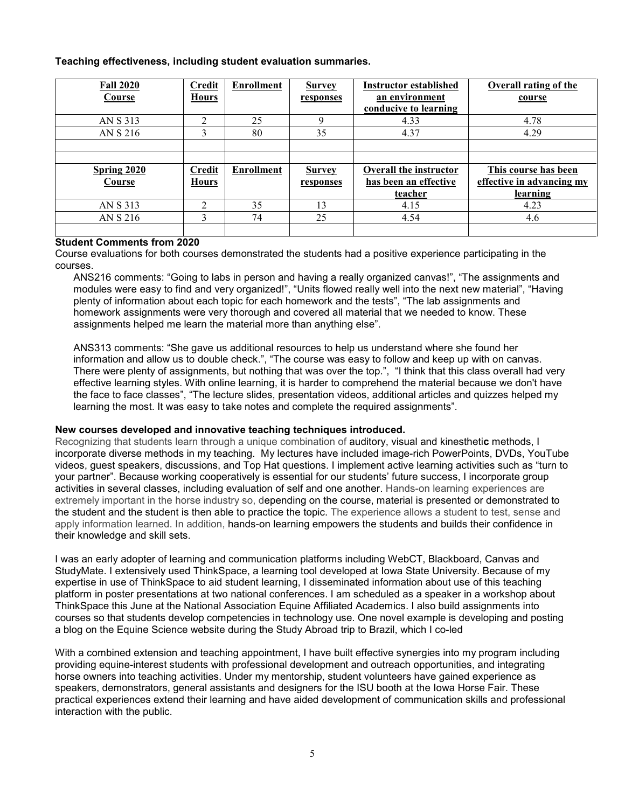## <span id="page-4-0"></span>**Teaching effectiveness, including student evaluation summaries.**

| <b>Fall 2020</b><br>Course | <b>Credit</b><br><b>Hours</b> | <b>Enrollment</b> | <b>Survey</b><br>responses | <b>Instructor established</b><br>an environment | <b>Overall rating of the</b><br>course |
|----------------------------|-------------------------------|-------------------|----------------------------|-------------------------------------------------|----------------------------------------|
|                            |                               |                   |                            | conducive to learning                           |                                        |
| AN S 313                   | $\mathfrak{D}$                | 25                | 9                          | 4.33                                            | 4.78                                   |
| AN S 216                   | 3                             | 80                | 35                         | 4.37                                            | 4.29                                   |
|                            |                               |                   |                            |                                                 |                                        |
|                            |                               |                   |                            |                                                 |                                        |
| <b>Spring 2020</b>         | <b>Credit</b>                 | <b>Enrollment</b> | <b>Survey</b>              | <b>Overall the instructor</b>                   | This course has been                   |
| Course                     | <b>Hours</b>                  |                   | responses                  | has been an effective                           | effective in advancing my              |
|                            |                               |                   |                            | teacher                                         | learning                               |
| AN S 313                   | $\overline{2}$                | 35                | 13                         | 4.15                                            | 4.23                                   |
| AN S 216                   | 3                             | 74                | 25                         | 4.54                                            | 4.6                                    |
|                            |                               |                   |                            |                                                 |                                        |

## **Student Comments from 2020**

Course evaluations for both courses demonstrated the students had a positive experience participating in the courses.

ANS216 comments: "Going to labs in person and having a really organized canvas!", "The assignments and modules were easy to find and very organized!", "Units flowed really well into the next new material", "Having plenty of information about each topic for each homework and the tests", "The lab assignments and homework assignments were very thorough and covered all material that we needed to know. These assignments helped me learn the material more than anything else".

ANS313 comments: "She gave us additional resources to help us understand where she found her information and allow us to double check.", "The course was easy to follow and keep up with on canvas. There were plenty of assignments, but nothing that was over the top.", "I think that this class overall had very effective learning styles. With online learning, it is harder to comprehend the material because we don't have the face to face classes", "The lecture slides, presentation videos, additional articles and quizzes helped my learning the most. It was easy to take notes and complete the required assignments".

### <span id="page-4-1"></span>**New courses developed and innovative teaching techniques introduced.**

Recognizing that students learn through a unique combination of auditory, visual and kinestheti**c** methods, I incorporate diverse methods in my teaching. My lectures have included image-rich PowerPoints, DVDs, YouTube videos, guest speakers, discussions, and Top Hat questions. I implement active learning activities such as "turn to your partner". Because working cooperatively is essential for our students' future success, I incorporate group activities in several classes, including evaluation of self and one another. Hands-on learning experiences are extremely important in the horse industry so, depending on the course, material is presented or demonstrated to the student and the student is then able to practice the topic. The experience allows a student to test, sense and apply information learned. In addition, hands-on learning empowers the students and builds their confidence in their knowledge and skill sets.

I was an early adopter of learning and communication platforms including WebCT, Blackboard, Canvas and StudyMate. I extensively used ThinkSpace, a learning tool developed at Iowa State University. Because of my expertise in use of ThinkSpace to aid student learning, I disseminated information about use of this teaching platform in poster presentations at two national conferences. I am scheduled as a speaker in a workshop about ThinkSpace this June at the National Association Equine Affiliated Academics. I also build assignments into courses so that students develop competencies in technology use. One novel example is developing and posting a blog on the Equine Science website during the Study Abroad trip to Brazil, which I co-led

With a combined extension and teaching appointment, I have built effective synergies into my program including providing equine-interest students with professional development and outreach opportunities, and integrating horse owners into teaching activities. Under my mentorship, student volunteers have gained experience as speakers, demonstrators, general assistants and designers for the ISU booth at the Iowa Horse Fair. These practical experiences extend their learning and have aided development of communication skills and professional interaction with the public.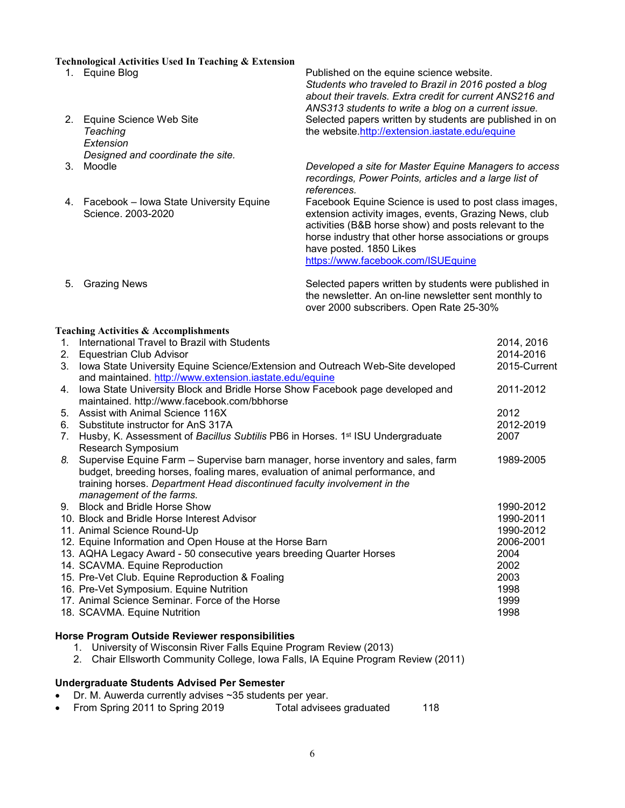#### <span id="page-5-0"></span>**Technological Activities Used In Teaching & Extension**

- 
- 2. Equine Science Web Site *Teaching Extension Designed and coordinate the site.*
- 
- 4. Facebook Iowa State University Equine Science. 2003-2020

1. Equine Blog Published on the equine science website. *Students who traveled to Brazil in 2016 posted a blog about their travels. Extra credit for current ANS216 and ANS313 students to write a blog on a current issue.* Selected papers written by students are published in on the website[.http://extension.iastate.edu/equine](http://extension.iastate.edu/equine)

> 3. Moodle *Developed a site for Master Equine Managers to access recordings, Power Points, articles and a large list of references.*

> Facebook Equine Science is used to post class images, extension activity images, events, Grazing News, club activities (B&B horse show) and posts relevant to the horse industry that other horse associations or groups have posted. 1850 Likes

<https://www.facebook.com/ISUEquine>

5. Grazing News Selected papers written by students were published in the newsletter. An on-line newsletter sent monthly to over 2000 subscribers. Open Rate 25-30%

## <span id="page-5-1"></span>**Teaching Activities & Accomplishments**

| 1. | International Travel to Brazil with Students                                               | 2014, 2016   |
|----|--------------------------------------------------------------------------------------------|--------------|
|    | 2. Equestrian Club Advisor                                                                 | 2014-2016    |
| 3. | lowa State University Equine Science/Extension and Outreach Web-Site developed             | 2015-Current |
|    | and maintained. http://www.extension.iastate.edu/equine                                    |              |
| 4. | lowa State University Block and Bridle Horse Show Facebook page developed and              | 2011-2012    |
|    | maintained. http://www.facebook.com/bbhorse                                                |              |
| 5. | Assist with Animal Science 116X                                                            | 2012         |
| 6. | Substitute instructor for AnS 317A                                                         | 2012-2019    |
| 7. | Husby, K. Assessment of Bacillus Subtilis PB6 in Horses. 1 <sup>st</sup> ISU Undergraduate | 2007         |
|    | Research Symposium                                                                         |              |
|    | 8. Supervise Equine Farm – Supervise barn manager, horse inventory and sales, farm         | 1989-2005    |
|    | budget, breeding horses, foaling mares, evaluation of animal performance, and              |              |
|    | training horses. Department Head discontinued faculty involvement in the                   |              |
|    | management of the farms.                                                                   |              |
|    | 9. Block and Bridle Horse Show                                                             | 1990-2012    |
|    | 10. Block and Bridle Horse Interest Advisor                                                | 1990-2011    |
|    | 11. Animal Science Round-Up                                                                | 1990-2012    |
|    | 12. Equine Information and Open House at the Horse Barn                                    | 2006-2001    |
|    | 13. AQHA Legacy Award - 50 consecutive years breeding Quarter Horses                       | 2004         |
|    | 14. SCAVMA. Equine Reproduction                                                            | 2002         |
|    | 15. Pre-Vet Club. Equine Reproduction & Foaling                                            | 2003         |
|    | 16. Pre-Vet Symposium. Equine Nutrition                                                    | 1998         |
|    | 17. Animal Science Seminar. Force of the Horse                                             | 1999         |
|    | 18. SCAVMA. Equine Nutrition                                                               | 1998         |
|    |                                                                                            |              |

### <span id="page-5-2"></span>**Horse Program Outside Reviewer responsibilities**

- 1. University of Wisconsin River Falls Equine Program Review (2013)
- 2. Chair Ellsworth Community College, Iowa Falls, IA Equine Program Review (2011)

#### <span id="page-5-3"></span>**Undergraduate Students Advised Per Semester**

- Dr. M. Auwerda currently advises ~35 students per year.
- From Spring 2011 to Spring 2019 Total advisees graduated 118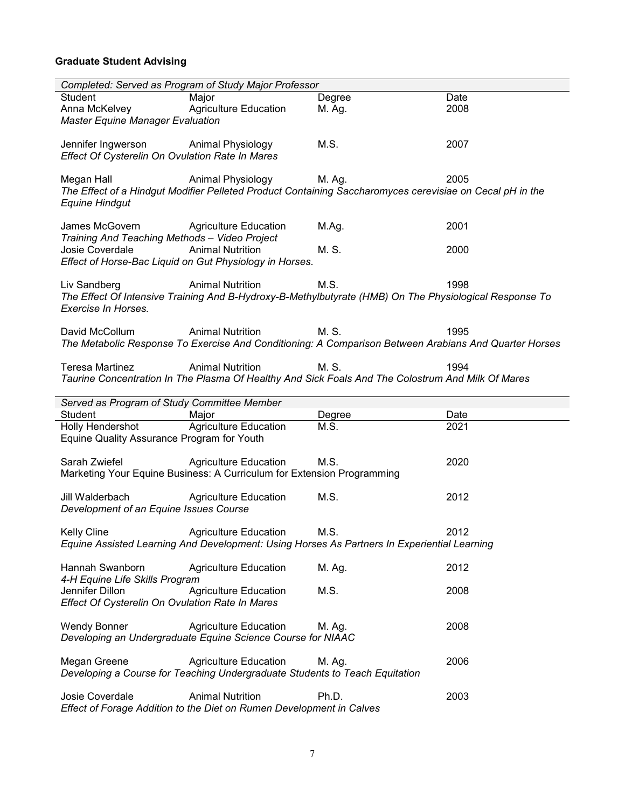# <span id="page-6-0"></span>**Graduate Student Advising**

|                                                                 | Completed: Served as Program of Study Major Professor                                                    |        |                                                                                                       |
|-----------------------------------------------------------------|----------------------------------------------------------------------------------------------------------|--------|-------------------------------------------------------------------------------------------------------|
| Student                                                         | Major                                                                                                    | Degree | Date                                                                                                  |
| Anna McKelvey<br><b>Master Equine Manager Evaluation</b>        | <b>Agriculture Education</b>                                                                             | M. Ag. | 2008                                                                                                  |
|                                                                 |                                                                                                          |        |                                                                                                       |
| Jennifer Ingwerson                                              | Animal Physiology                                                                                        | M.S.   | 2007                                                                                                  |
| Effect Of Cysterelin On Ovulation Rate In Mares                 |                                                                                                          |        |                                                                                                       |
| Megan Hall                                                      | Animal Physiology                                                                                        | M. Ag. | 2005                                                                                                  |
|                                                                 | The Effect of a Hindgut Modifier Pelleted Product Containing Saccharomyces cerevisiae on Cecal pH in the |        |                                                                                                       |
| <b>Equine Hindgut</b>                                           |                                                                                                          |        |                                                                                                       |
|                                                                 |                                                                                                          |        |                                                                                                       |
| James McGovern<br>Training And Teaching Methods - Video Project | <b>Agriculture Education</b>                                                                             | M.Ag.  | 2001                                                                                                  |
| Josie Coverdale                                                 | <b>Animal Nutrition</b>                                                                                  | M. S.  | 2000                                                                                                  |
|                                                                 | Effect of Horse-Bac Liquid on Gut Physiology in Horses.                                                  |        |                                                                                                       |
|                                                                 |                                                                                                          |        |                                                                                                       |
| Liv Sandberg                                                    | <b>Animal Nutrition</b>                                                                                  | M.S.   | 1998                                                                                                  |
| Exercise In Horses.                                             | The Effect Of Intensive Training And B-Hydroxy-B-Methylbutyrate (HMB) On The Physiological Response To   |        |                                                                                                       |
|                                                                 |                                                                                                          |        |                                                                                                       |
| David McCollum                                                  | <b>Animal Nutrition</b>                                                                                  | M. S.  | 1995                                                                                                  |
|                                                                 |                                                                                                          |        | The Metabolic Response To Exercise And Conditioning: A Comparison Between Arabians And Quarter Horses |
|                                                                 |                                                                                                          |        |                                                                                                       |
| <b>Teresa Martinez</b>                                          | <b>Animal Nutrition</b>                                                                                  | M. S.  | 1994                                                                                                  |
|                                                                 | Taurine Concentration In The Plasma Of Healthy And Sick Foals And The Colostrum And Milk Of Mares        |        |                                                                                                       |
|                                                                 |                                                                                                          |        |                                                                                                       |
|                                                                 |                                                                                                          |        |                                                                                                       |
| Student                                                         | Served as Program of Study Committee Member<br>Major                                                     | Degree | Date                                                                                                  |
| Holly Hendershot                                                | <b>Agriculture Education</b>                                                                             | M.S.   | 2021                                                                                                  |
| Equine Quality Assurance Program for Youth                      |                                                                                                          |        |                                                                                                       |
|                                                                 |                                                                                                          |        |                                                                                                       |
| Sarah Zwiefel                                                   | <b>Agriculture Education</b>                                                                             | M.S.   | 2020                                                                                                  |
|                                                                 | Marketing Your Equine Business: A Curriculum for Extension Programming                                   |        |                                                                                                       |
| Jill Walderbach                                                 | <b>Agriculture Education</b>                                                                             | M.S.   | 2012                                                                                                  |
| Development of an Equine Issues Course                          |                                                                                                          |        |                                                                                                       |
|                                                                 |                                                                                                          |        |                                                                                                       |
| Kelly Cline                                                     | Agriculture Education M.S.                                                                               |        | 2012                                                                                                  |
|                                                                 | Equine Assisted Learning And Development: Using Horses As Partners In Experiential Learning              |        |                                                                                                       |
| Hannah Swanborn                                                 | <b>Agriculture Education</b>                                                                             | M. Ag. | 2012                                                                                                  |
| 4-H Equine Life Skills Program                                  |                                                                                                          |        |                                                                                                       |
| Jennifer Dillon                                                 | <b>Agriculture Education</b>                                                                             | M.S.   | 2008                                                                                                  |
| Effect Of Cysterelin On Ovulation Rate In Mares                 |                                                                                                          |        |                                                                                                       |
| <b>Wendy Bonner</b>                                             | <b>Agriculture Education</b>                                                                             | M. Ag. | 2008                                                                                                  |
|                                                                 | Developing an Undergraduate Equine Science Course for NIAAC                                              |        |                                                                                                       |
|                                                                 |                                                                                                          |        |                                                                                                       |
| Megan Greene                                                    | <b>Agriculture Education</b>                                                                             | M. Ag. | 2006                                                                                                  |
|                                                                 | Developing a Course for Teaching Undergraduate Students to Teach Equitation                              |        |                                                                                                       |
| Josie Coverdale                                                 | <b>Animal Nutrition</b>                                                                                  | Ph.D.  | 2003                                                                                                  |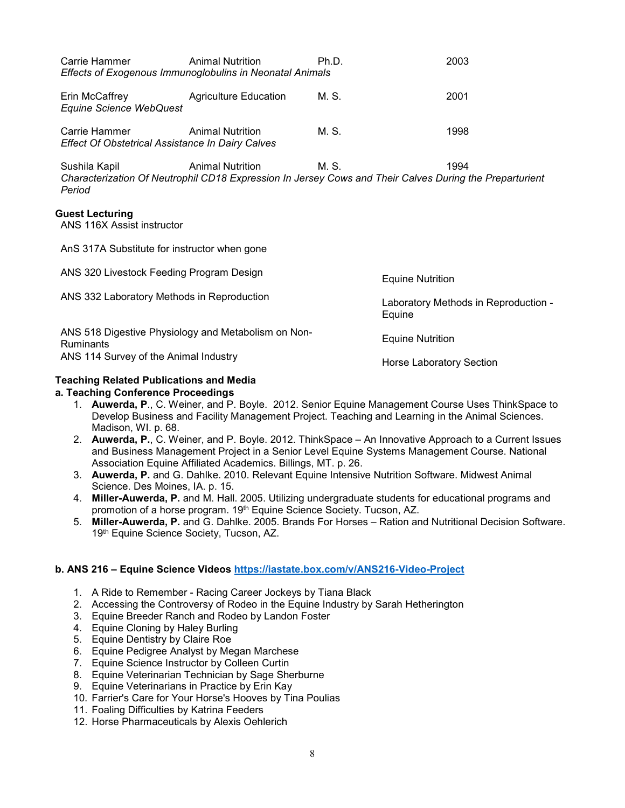<span id="page-7-0"></span>

| Carrie Hammer                                                            | <b>Animal Nutrition</b><br>Effects of Exogenous Immunoglobulins in Neonatal Animals | Ph.D. | 2003                                                                                                            |  |  |  |
|--------------------------------------------------------------------------|-------------------------------------------------------------------------------------|-------|-----------------------------------------------------------------------------------------------------------------|--|--|--|
| Erin McCaffrey<br><b>Equine Science WebQuest</b>                         | <b>Agriculture Education</b>                                                        | M. S. | 2001                                                                                                            |  |  |  |
| Carrie Hammer<br><b>Effect Of Obstetrical Assistance In Dairy Calves</b> | <b>Animal Nutrition</b>                                                             | M. S. | 1998                                                                                                            |  |  |  |
| Sushila Kapil<br>Period                                                  | <b>Animal Nutrition</b>                                                             | M. S. | 1994<br>Characterization Of Neutrophil CD18 Expression In Jersey Cows and Their Calves During the Preparturient |  |  |  |
| <b>Guest Lecturing</b><br>ANS 116X Assist instructor                     |                                                                                     |       |                                                                                                                 |  |  |  |
| AnS 317A Substitute for instructor when gone                             |                                                                                     |       |                                                                                                                 |  |  |  |
| ANS 320 Livestock Feeding Program Design                                 |                                                                                     |       | <b>Equine Nutrition</b>                                                                                         |  |  |  |
| ANS 332 Laboratory Methods in Reproduction                               |                                                                                     |       | Laboratory Methods in Reproduction -<br>Equine                                                                  |  |  |  |
| <b>Ruminants</b>                                                         | ANS 518 Digestive Physiology and Metabolism on Non-                                 |       | <b>Equine Nutrition</b>                                                                                         |  |  |  |
| ANS 114 Survey of the Animal Industry                                    |                                                                                     |       | <b>Horse Laboratory Section</b>                                                                                 |  |  |  |

## <span id="page-7-1"></span>**Teaching Related Publications and Media**

### **a. Teaching Conference Proceedings**

- 1. **Auwerda, P**., C. Weiner, and P. Boyle. 2012. Senior Equine Management Course Uses ThinkSpace to Develop Business and Facility Management Project. Teaching and Learning in the Animal Sciences. Madison, WI. p. 68.
- 2. **Auwerda, P.**, C. Weiner, and P. Boyle. 2012. ThinkSpace An Innovative Approach to a Current Issues and Business Management Project in a Senior Level Equine Systems Management Course. National Association Equine Affiliated Academics. Billings, MT. p. 26.
- 3. **Auwerda, P.** and G. Dahlke. 2010. Relevant Equine Intensive Nutrition Software. Midwest Animal Science. Des Moines, IA. p. 15.
- 4. **Miller-Auwerda, P.** and M. Hall. 2005. Utilizing undergraduate students for educational programs and promotion of a horse program. 19<sup>th</sup> Equine Science Society. Tucson, AZ.
- 5. **Miller-Auwerda, P.** and G. Dahlke. 2005. Brands For Horses Ration and Nutritional Decision Software. 19th Equine Science Society, Tucson, AZ.

### **b. ANS 216 – Equine Science Videos<https://iastate.box.com/v/ANS216-Video-Project>**

- 1. A Ride to Remember Racing Career Jockeys by Tiana Black
- 2. Accessing the Controversy of Rodeo in the Equine Industry by Sarah Hetherington
- 3. Equine Breeder Ranch and Rodeo by Landon Foster
- 4. Equine Cloning by Haley Burling
- 5. Equine Dentistry by Claire Roe
- 6. Equine Pedigree Analyst by Megan Marchese
- 7. Equine Science Instructor by Colleen Curtin
- 8. Equine Veterinarian Technician by Sage Sherburne
- 9. Equine Veterinarians in Practice by Erin Kay
- 10. Farrier's Care for Your Horse's Hooves by Tina Poulias
- 11. Foaling Difficulties by Katrina Feeders
- 12. Horse Pharmaceuticals by Alexis Oehlerich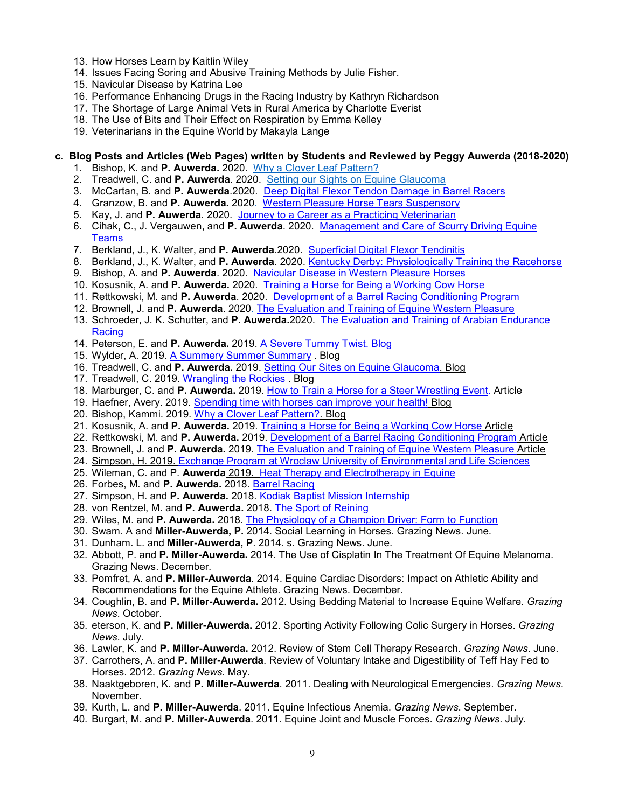- 13. How Horses Learn by Kaitlin Wiley
- 14. Issues Facing Soring and Abusive Training Methods by Julie Fisher.
- 15. Navicular Disease by Katrina Lee
- 16. Performance Enhancing Drugs in the Racing Industry by Kathryn Richardson
- 17. The Shortage of Large Animal Vets in Rural America by Charlotte Everist
- 18. The Use of Bits and Their Effect on Respiration by Emma Kelley
- 19. Veterinarians in the Equine World by Makayla Lange

## **c. Blog Posts and Articles (Web Pages) written by Students and Reviewed by Peggy Auwerda (2018-2020)**

- 1. Bishop, K. and **P. Auwerda.** 2020. [Why a Clover Leaf Pattern?](https://www.extension.iastate.edu/equine/blog/dr-peggy-m-auwerda/why-clover-leaf-pattern)
- 2. Treadwell, C. and **P. Auwerda**. 2020. [Setting our Sights on Equine Glaucoma](https://www.extension.iastate.edu/equine/blog/dr-peggy-m-auwerda/setting-our-sights-equine-glaucoma)
- 3. McCartan, B. and **P. Auwerda**.2020. [Deep Digital Flexor Tendon Damage in Barrel Racers](https://www.extension.iastate.edu/equine/deep-digital-flexor-tendon-damage-barrel-racers)
- 4. Granzow, B. and **P. Auwerda.** 2020. [Western Pleasure Horse Tears Suspensory](https://www.extension.iastate.edu/equine/western-pleasure-horse-tears-suspensory)
- 5. Kay, J. and **P. Auwerda**. 2020. [Journey to a Career as a Practicing Veterinarian](https://www.extension.iastate.edu/equine/journey-career-practicing-veterinarian)
- 6. Cihak, C., J. Vergauwen, and **P. Auwerda**. 2020. [Management and Care of Scurry Driving Equine](https://www.extension.iastate.edu/equine/management-and-care-scurry-driving-equine-teams)  **Teams**
- 7. Berkland, J., K. Walter, and **P. Auwerda**.2020. [Superficial Digital Flexor Tendinitis](https://www.extension.iastate.edu/equine/superficial-digital-flexor-tendinitis)
- 8. Berkland, J., K. Walter, and **P. Auwerda**. 2020. [Kentucky Derby: Physiologically Training the Racehorse](https://www.extension.iastate.edu/equine/kentucky-derby-physiologically-training-racehorse)
- 9. Bishop, A. and **P. Auwerda**. 2020. [Navicular Disease in Western Pleasure Horses](https://www.extension.iastate.edu/equine/navicular-disease-western-pleasure-horses)
- 10. Kosusnik, A. and **P. Auwerda.** 2020. [Training a Horse for Being a Working Cow Horse](https://www.extension.iastate.edu/equine/training-horse-being-working-cow-horse)
- 11. Rettkowski, M. and **P. Auwerda**. 2020. [Development of a Barrel Racing Conditioning Program](https://www.extension.iastate.edu/equine/development-barrel-racing-conditioning-program)
- 12. Brownell, J. and **P. Auwerda**. 2020. [The Evaluation and Training of Equine Western Pleasure](https://www.extension.iastate.edu/equine/evaluation-and-training-equine-western-pleasure)
- 13. Schroeder, J. K. Schutter, and **P. Auwerda.**2020. [The Evaluation and Training of Arabian Endurance](https://www.extension.iastate.edu/equine/evaluation-and-training-arabian-endurance-racing)  **Racing**
- 14. Peterson, E. and **P. Auwerda.** 2019. [A Severe Tummy Twist.](https://www.extension.iastate.edu/equine/blog/dr-peggy-m-auwerda/severe-tummy-twist) Blog
- 15. Wylder, A. 2019. [A Summery Summer Summary](https://www.extension.iastate.edu/equine/blog/dr-peggy-m-auwerda/summery-summer-summary) . Blog
- 16. Treadwell, C. and **P. Auwerda.** 2019. [Setting Our Sites on Equine Glaucoma.](https://www.extension.iastate.edu/equine/blog/dr-peggy-m-auwerda/setting-our-sights-equine-glaucoma) Blog
- 17. Treadwell, C. 2019. [Wrangling the Rockies](https://www.extension.iastate.edu/equine/blog/dr-peggy-m-auwerda/wrangling-rockies) . Blog
- 18. Marburger, C. and **P. Auwerda.** 2019. [How to Train a Horse for a Steer Wrestling Event.](https://www.extension.iastate.edu/equine/how-train-horse-steer-wrestling-event) Article
- 19. Haefner, Avery. 2019. [Spending time with horses can improve your health!](https://www.extension.iastate.edu/equine/blog/dr-peggy-m-auwerda/spending-time-horses-can-improve-your-health) Blog
- 20. Bishop, Kammi. 2019. [Why a Clover Leaf Pattern?.](https://www.extension.iastate.edu/equine/blog/dr-peggy-m-auwerda/why-clover-leaf-pattern) Blog
- 21. Kosusnik, A. and **P. Auwerda.** 2019. [Training a Horse for Being a Working Cow Horse](https://www.extension.iastate.edu/equine/training-horse-being-working-cow-horse) Article
- 22. Rettkowski, M. and **P. Auwerda.** 2019. [Development of a Barrel Racing Conditioning Program](https://www.extension.iastate.edu/equine/development-barrel-racing-conditioning-program) Article
- 23. Brownell, J. and **P. Auwerda.** 2019. [The Evaluation and Training of Equine Western Pleasure](https://www.extension.iastate.edu/equine/evaluation-and-training-equine-western-pleasure) Article
- 24. Simpson, H. 2019. [Exchange Program at Wroclaw University of Environmental and Life Sciences](https://www.extension.iastate.edu/equine/exchange-program-wroclaw-university-environmental-and-life-sciences)
- 25. Wileman, C. and P. **Auwerda** 2019**.** [Heat Therapy and Electrotherapy in Equine](https://www.extension.iastate.edu/equine/heat-therapy-and-electrotherapy-equine)
- 26. Forbes, M. and **P. Auwerda.** 2018. [Barrel Racing](https://www.extension.iastate.edu/equine/barrel-racing)
- 27. Simpson, H. and **P. Auwerda.** 2018. [Kodiak Baptist Mission Internship](https://www.extension.iastate.edu/equine/kodiak-baptist-mission-internship)
- 28. von Rentzel, M. and **P. Auwerda.** 2018. [The Sport of Reining](https://www.extension.iastate.edu/equine/sport-reining)
- 29. Wiles, M. and **P. Auwerda.** 2018. [The Physiology of a Champion Driver: Form to Function](https://www.extension.iastate.edu/equine/physiology-champion-driver-form-function)
- 30. Swam. A and **Miller-Auwerda, P.** 2014. Social Learning in Horses. Grazing News. June.
- 31. Dunham. L. and **Miller-Auwerda, P**. 2014. s. Grazing News. June.
- 32. Abbott, P. and **P. Miller-Auwerda.** 2014. The Use of Cisplatin In The Treatment Of Equine Melanoma. Grazing News. December.
- 33. Pomfret, A. and **P. Miller-Auwerda**. 2014. Equine Cardiac Disorders: Impact on Athletic Ability and Recommendations for the Equine Athlete. Grazing News. December.
- 34. Coughlin, B. and **P. Miller-Auwerda.** 2012. Using Bedding Material to Increase Equine Welfare. *Grazing News*. October.
- 35. eterson, K. and **P. Miller-Auwerda.** 2012. Sporting Activity Following Colic Surgery in Horses. *Grazing News*. July.
- 36. Lawler, K. and **P. Miller-Auwerda.** 2012. Review of Stem Cell Therapy Research. *Grazing News*. June.
- 37. Carrothers, A. and **P. Miller-Auwerda**. Review of Voluntary Intake and Digestibility of Teff Hay Fed to Horses. 2012. *Grazing News*. May.
- 38. Naaktgeboren, K. and **P. Miller-Auwerda**. 2011. Dealing with Neurological Emergencies. *Grazing News*. November.
- 39. Kurth, L. and **P. Miller-Auwerda**. 2011. Equine Infectious Anemia. *Grazing News*. September.
- 40. Burgart, M. and **P. Miller-Auwerda**. 2011. Equine Joint and Muscle Forces. *Grazing News*. July.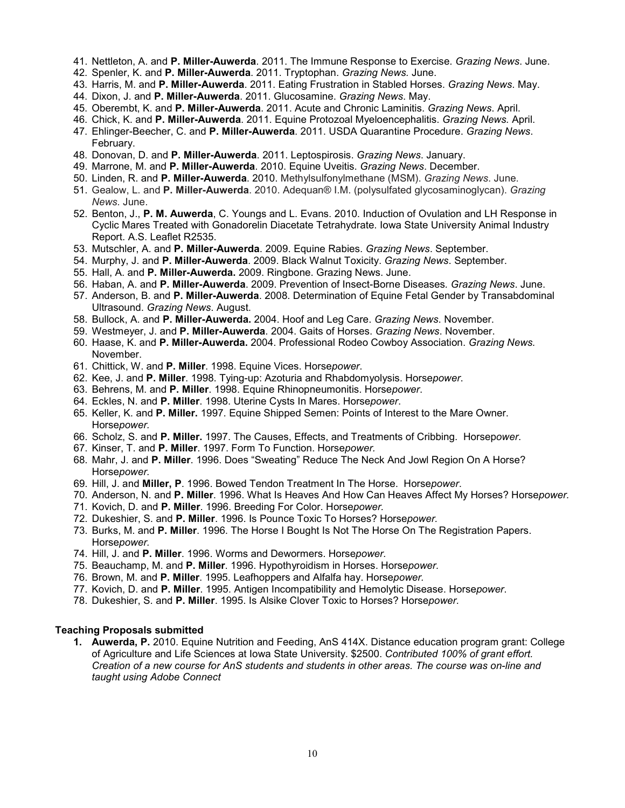- 41. Nettleton, A. and **P. Miller-Auwerda**. 2011. The Immune Response to Exercise. *Grazing News*. June.
- 42. Spenler, K. and **P. Miller-Auwerda**. 2011. Tryptophan. *Grazing News.* June.
- 43. Harris, M. and **P. Miller-Auwerda**. 2011. Eating Frustration in Stabled Horses. *Grazing News*. May.
- 44. Dixon, J. and **P. Miller-Auwerda**. 2011. Glucosamine. *Grazing News*. May.
- 45. Oberembt, K. and **P. Miller-Auwerda**. 2011. Acute and Chronic Laminitis. *Grazing News*. April.
- 46. Chick, K. and **P. Miller-Auwerda**. 2011. Equine Protozoal Myeloencephalitis. *Grazing News.* April.
- 47. Ehlinger-Beecher, C. and **P. Miller-Auwerda**. 2011. USDA Quarantine Procedure. *Grazing News*. February.
- 48. Donovan, D. and **P. Miller-Auwerda**. 2011. Leptospirosis. *Grazing News*. January.
- 49. Marrone, M. and **P. Miller-Auwerda**. 2010. Equine Uveitis. *Grazing News*. December.
- 50. Linden, R. and **P. Miller-Auwerda**. 2010. Methylsulfonylmethane (MSM). *Grazing News*. June.
- 51. Gealow, L. and **P. Miller-Auwerda**. 2010. Adequan® I.M. (polysulfated glycosaminoglycan). *Grazing News.* June.
- 52. Benton, J., **P. M. Auwerda**, C. Youngs and L. Evans. 2010. Induction of Ovulation and LH Response in Cyclic Mares Treated with Gonadorelin Diacetate Tetrahydrate. Iowa State University Animal Industry Report. A.S. Leaflet R2535.
- 53. Mutschler, A. and **P. Miller-Auwerda**. 2009. Equine Rabies. *Grazing News*. September.
- 54. Murphy, J. and **P. Miller-Auwerda**. 2009. Black Walnut Toxicity. *Grazing News*. September.
- 55. Hall, A. and **P. Miller-Auwerda.** 2009. Ringbone. Grazing News. June.
- 56. Haban, A. and **P. Miller-Auwerda**. 2009. Prevention of Insect-Borne Diseases*. Grazing News*. June.
- 57. Anderson, B. and **P. Miller-Auwerda**. 2008. Determination of Equine Fetal Gender by Transabdominal Ultrasound. *Grazing News*. August.
- 58. Bullock, A. and **P. Miller-Auwerda.** 2004. Hoof and Leg Care. *Grazing News*. November.
- 59. Westmeyer, J. and **P. Miller-Auwerda**. 2004. Gaits of Horses. *Grazing News*. November.
- 60. Haase, K. and **P. Miller-Auwerda.** 2004. Professional Rodeo Cowboy Association. *Grazing News.* November.
- 61. Chittick, W. and **P. Miller**. 1998. Equine Vices. Horse*power*.
- 62. Kee, J. and **P. Miller**. 1998. Tying-up: Azoturia and Rhabdomyolysis. Horse*power*.
- 63. Behrens, M. and **P. Miller**. 1998. Equine Rhinopneumonitis. Horse*power*.
- 64. Eckles, N. and **P. Miller**. 1998. Uterine Cysts In Mares. Horse*power*.
- 65. Keller, K. and **P. Miller.** 1997. Equine Shipped Semen: Points of Interest to the Mare Owner. Horse*power.*
- 66. Scholz, S. and **P. Miller.** 1997. The Causes, Effects, and Treatments of Cribbing. Horsep*ower*.
- 67. Kinser, T. and **P. Miller**. 1997. Form To Function. Horse*power.*
- 68. Mahr, J. and **P. Miller**. 1996. Does "Sweating" Reduce The Neck And Jowl Region On A Horse? Horse*power.*
- 69. Hill, J. and **Miller, P**. 1996. Bowed Tendon Treatment In The Horse. Horse*power*.
- 70. Anderson, N. and **P. Miller**. 1996. What Is Heaves And How Can Heaves Affect My Horses? Horse*power.*
- 71. Kovich, D. and **P. Miller**. 1996. Breeding For Color. Horse*power.*
- 72. Dukeshier, S. and **P. Miller**. 1996. Is Pounce Toxic To Horses? Horse*power.*
- 73. Burks, M. and **P. Miller**. 1996. The Horse I Bought Is Not The Horse On The Registration Papers. Horse*power.*
- 74. Hill, J. and **P. Miller**. 1996. Worms and Dewormers. Horse*power.*
- 75. Beauchamp, M. and **P. Miller**. 1996. Hypothyroidism in Horses. Horse*power.*
- 76. Brown, M. and **P. Miller**. 1995. Leafhoppers and Alfalfa hay. Horse*power.*
- 77. Kovich, D. and **P. Miller**. 1995. Antigen Incompatibility and Hemolytic Disease. Horse*power*.
- 78. Dukeshier, S. and **P. Miller**. 1995. Is Alsike Clover Toxic to Horses? Horse*power.*

## <span id="page-9-0"></span>**Teaching Proposals submitted**

**1. Auwerda, P.** 2010. Equine Nutrition and Feeding, AnS 414X. Distance education program grant: College of Agriculture and Life Sciences at Iowa State University. \$2500. *Contributed 100% of grant effort. Creation of a new course for AnS students and students in other areas. The course was on-line and taught using Adobe Connect*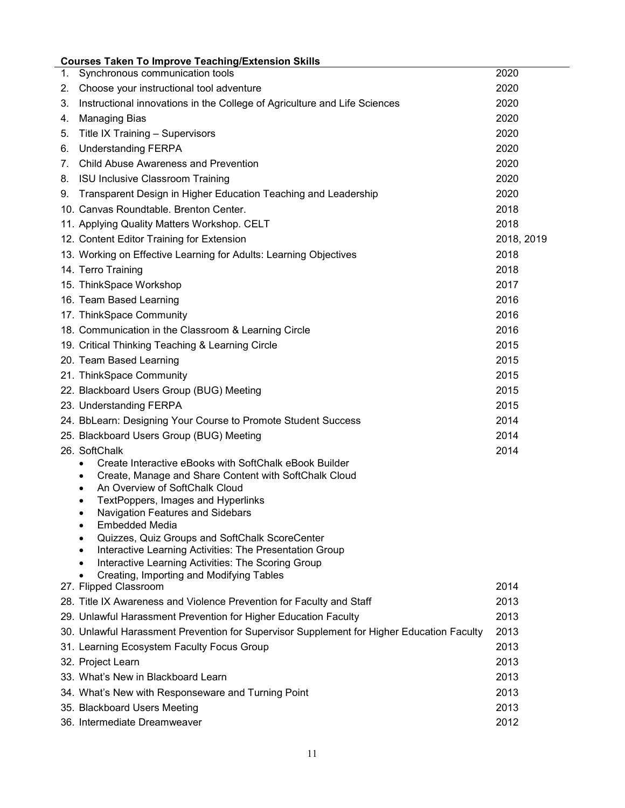# <span id="page-10-0"></span>**Courses Taken To Improve Teaching/Extension Skills**

| 1. | Synchronous communication tools                                                                | 2020       |
|----|------------------------------------------------------------------------------------------------|------------|
| 2. | Choose your instructional tool adventure                                                       | 2020       |
| 3. | Instructional innovations in the College of Agriculture and Life Sciences                      | 2020       |
| 4. | <b>Managing Bias</b>                                                                           | 2020       |
| 5. | Title IX Training - Supervisors                                                                | 2020       |
| 6. | <b>Understanding FERPA</b>                                                                     | 2020       |
| 7. | <b>Child Abuse Awareness and Prevention</b>                                                    | 2020       |
| 8. | <b>ISU Inclusive Classroom Training</b>                                                        | 2020       |
| 9. | Transparent Design in Higher Education Teaching and Leadership                                 | 2020       |
|    | 10. Canvas Roundtable, Brenton Center.                                                         | 2018       |
|    | 11. Applying Quality Matters Workshop. CELT                                                    | 2018       |
|    | 12. Content Editor Training for Extension                                                      | 2018, 2019 |
|    | 13. Working on Effective Learning for Adults: Learning Objectives                              | 2018       |
|    | 14. Terro Training                                                                             | 2018       |
|    | 15. ThinkSpace Workshop                                                                        | 2017       |
|    | 16. Team Based Learning                                                                        | 2016       |
|    | 17. ThinkSpace Community                                                                       | 2016       |
|    | 18. Communication in the Classroom & Learning Circle                                           | 2016       |
|    | 19. Critical Thinking Teaching & Learning Circle                                               | 2015       |
|    | 20. Team Based Learning                                                                        | 2015       |
|    | 21. ThinkSpace Community                                                                       | 2015       |
|    | 22. Blackboard Users Group (BUG) Meeting                                                       | 2015       |
|    | 23. Understanding FERPA                                                                        | 2015       |
|    | 24. BbLearn: Designing Your Course to Promote Student Success                                  | 2014       |
|    | 25. Blackboard Users Group (BUG) Meeting                                                       | 2014       |
|    | 26. SoftChalk                                                                                  | 2014       |
|    | Create Interactive eBooks with SoftChalk eBook Builder<br>$\bullet$                            |            |
|    | Create, Manage and Share Content with SoftChalk Cloud<br>$\bullet$                             |            |
|    | An Overview of SoftChalk Cloud<br>TextPoppers, Images and Hyperlinks                           |            |
|    | Navigation Features and Sidebars                                                               |            |
|    | Embedded Media                                                                                 |            |
|    | Quizzes, Quiz Groups and SoftChalk ScoreCenter<br>$\bullet$                                    |            |
|    | Interactive Learning Activities: The Presentation Group                                        |            |
|    | Interactive Learning Activities: The Scoring Group<br>Creating, Importing and Modifying Tables |            |
|    | 27. Flipped Classroom                                                                          | 2014       |
|    | 28. Title IX Awareness and Violence Prevention for Faculty and Staff                           | 2013       |
|    | 29. Unlawful Harassment Prevention for Higher Education Faculty                                | 2013       |
|    | 30. Unlawful Harassment Prevention for Supervisor Supplement for Higher Education Faculty      | 2013       |
|    | 31. Learning Ecosystem Faculty Focus Group                                                     | 2013       |
|    | 32. Project Learn                                                                              | 2013       |
|    | 33. What's New in Blackboard Learn                                                             | 2013       |
|    | 34. What's New with Responseware and Turning Point                                             | 2013       |
|    | 35. Blackboard Users Meeting                                                                   | 2013       |
|    | 36. Intermediate Dreamweaver                                                                   | 2012       |
|    |                                                                                                |            |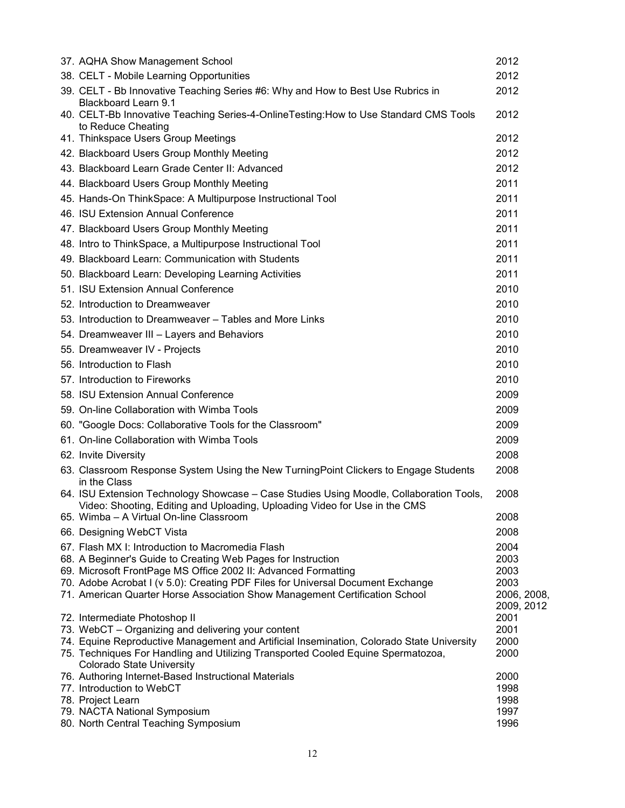| 37. AQHA Show Management School                                                                                                                                       | 2012         |
|-----------------------------------------------------------------------------------------------------------------------------------------------------------------------|--------------|
| 38. CELT - Mobile Learning Opportunities                                                                                                                              | 2012         |
| 39. CELT - Bb Innovative Teaching Series #6: Why and How to Best Use Rubrics in<br><b>Blackboard Learn 9.1</b>                                                        | 2012         |
| 40. CELT-Bb Innovative Teaching Series-4-OnlineTesting:How to Use Standard CMS Tools<br>to Reduce Cheating                                                            | 2012         |
| 41. Thinkspace Users Group Meetings                                                                                                                                   | 2012         |
| 42. Blackboard Users Group Monthly Meeting                                                                                                                            | 2012         |
| 43. Blackboard Learn Grade Center II: Advanced                                                                                                                        | 2012         |
| 44. Blackboard Users Group Monthly Meeting                                                                                                                            | 2011         |
| 45. Hands-On ThinkSpace: A Multipurpose Instructional Tool                                                                                                            | 2011         |
| 46. ISU Extension Annual Conference                                                                                                                                   | 2011         |
| 47. Blackboard Users Group Monthly Meeting                                                                                                                            | 2011         |
| 48. Intro to ThinkSpace, a Multipurpose Instructional Tool                                                                                                            | 2011         |
| 49. Blackboard Learn: Communication with Students                                                                                                                     | 2011         |
| 50. Blackboard Learn: Developing Learning Activities                                                                                                                  | 2011         |
| 51. ISU Extension Annual Conference                                                                                                                                   | 2010         |
| 52. Introduction to Dreamweaver                                                                                                                                       | 2010         |
| 53. Introduction to Dreamweaver – Tables and More Links                                                                                                               | 2010         |
| 54. Dreamweaver III - Layers and Behaviors                                                                                                                            | 2010         |
| 55. Dreamweaver IV - Projects                                                                                                                                         | 2010         |
| 56. Introduction to Flash                                                                                                                                             | 2010         |
| 57. Introduction to Fireworks                                                                                                                                         | 2010         |
| 58. ISU Extension Annual Conference                                                                                                                                   | 2009         |
| 59. On-line Collaboration with Wimba Tools                                                                                                                            | 2009         |
| 60. "Google Docs: Collaborative Tools for the Classroom"                                                                                                              | 2009         |
| 61. On-line Collaboration with Wimba Tools                                                                                                                            | 2009         |
| 62. Invite Diversity                                                                                                                                                  | 2008         |
| 63. Classroom Response System Using the New TurningPoint Clickers to Engage Students<br>in the Class                                                                  | 2008         |
| 64. ISU Extension Technology Showcase - Case Studies Using Moodle, Collaboration Tools,<br>Video: Shooting, Editing and Uploading, Uploading Video for Use in the CMS | 2008         |
| 65. Wimba - A Virtual On-line Classroom                                                                                                                               | 2008         |
| 66. Designing WebCT Vista                                                                                                                                             | 2008         |
| 67. Flash MX I: Introduction to Macromedia Flash                                                                                                                      | 2004         |
| 68. A Beginner's Guide to Creating Web Pages for Instruction                                                                                                          | 2003<br>2003 |
| 69. Microsoft FrontPage MS Office 2002 II: Advanced Formatting<br>70. Adobe Acrobat I (v 5.0): Creating PDF Files for Universal Document Exchange                     | 2003         |
| 71. American Quarter Horse Association Show Management Certification School                                                                                           | 2006, 2008,  |
|                                                                                                                                                                       | 2009, 2012   |
| 72. Intermediate Photoshop II<br>73. WebCT - Organizing and delivering your content                                                                                   | 2001<br>2001 |
| 74. Equine Reproductive Management and Artificial Insemination, Colorado State University                                                                             | 2000         |
| 75. Techniques For Handling and Utilizing Transported Cooled Equine Spermatozoa,<br><b>Colorado State University</b>                                                  | 2000         |
| 76. Authoring Internet-Based Instructional Materials                                                                                                                  | 2000         |
| 77. Introduction to WebCT<br>78. Project Learn                                                                                                                        | 1998<br>1998 |
| 79. NACTA National Symposium                                                                                                                                          | 1997         |
| 80. North Central Teaching Symposium                                                                                                                                  | 1996         |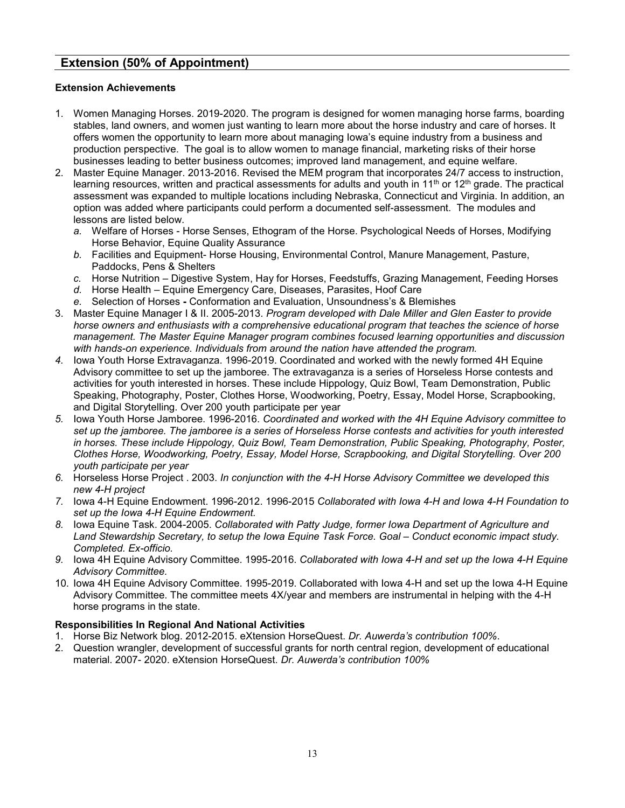# <span id="page-12-0"></span>**Extension (50% of Appointment)**

## <span id="page-12-1"></span>**Extension Achievements**

- 1. Women Managing Horses. 2019-2020. The program is designed for women managing horse farms, boarding stables, land owners, and women just wanting to learn more about the horse industry and care of horses. It offers women the opportunity to learn more about managing Iowa's equine industry from a business and production perspective. The goal is to allow women to manage financial, marketing risks of their horse businesses leading to better business outcomes; improved land management, and equine welfare.
- 2. Master Equine Manager. 2013-2016. Revised the MEM program that incorporates 24/7 access to instruction, learning resources, written and practical assessments for adults and youth in 11<sup>th</sup> or 12<sup>th</sup> grade. The practical assessment was expanded to multiple locations including Nebraska, Connecticut and Virginia. In addition, an option was added where participants could perform a documented self-assessment. The modules and lessons are listed below.
	- *a.* Welfare of Horses Horse Senses, Ethogram of the Horse. Psychological Needs of Horses, Modifying Horse Behavior, Equine Quality Assurance
	- *b.* Facilities and Equipment- Horse Housing, Environmental Control, Manure Management, Pasture, Paddocks, Pens & Shelters
	- *c.* Horse Nutrition Digestive System, Hay for Horses, Feedstuffs, Grazing Management, Feeding Horses
	- *d.* Horse Health Equine Emergency Care, Diseases, Parasites, Hoof Care
	- *e.* Selection of Horses **-** Conformation and Evaluation, Unsoundness's & Blemishes
- 3. Master Equine Manager I & II. 2005-2013. *Program developed with Dale Miller and Glen Easter to provide horse owners and enthusiasts with a comprehensive educational program that teaches the science of horse management. The Master Equine Manager program combines focused learning opportunities and discussion with hands-on experience. Individuals from around the nation have attended the program.*
- *4.* Iowa Youth Horse Extravaganza. 1996-2019. Coordinated and worked with the newly formed 4H Equine Advisory committee to set up the jamboree. The extravaganza is a series of Horseless Horse contests and activities for youth interested in horses. These include Hippology, Quiz Bowl, Team Demonstration, Public Speaking, Photography, Poster, Clothes Horse, Woodworking, Poetry, Essay, Model Horse, Scrapbooking, and Digital Storytelling. Over 200 youth participate per year
- *5.* Iowa Youth Horse Jamboree. 1996-2016. *Coordinated and worked with the 4H Equine Advisory committee to set up the jamboree. The jamboree is a series of Horseless Horse contests and activities for youth interested in horses. These include Hippology, Quiz Bowl, Team Demonstration, Public Speaking, Photography, Poster, Clothes Horse, Woodworking, Poetry, Essay, Model Horse, Scrapbooking, and Digital Storytelling. Over 200 youth participate per year*
- *6.* Horseless Horse Project . 2003. *In conjunction with the 4-H Horse Advisory Committee we developed this new 4-H project*
- *7.* Iowa 4-H Equine Endowment. 1996-2012. 1996-2015 *Collaborated with Iowa 4-H and Iowa 4-H Foundation to set up the Iowa 4-H Equine Endowment.*
- *8.* Iowa Equine Task. 2004-2005. *Collaborated with Patty Judge, former Iowa Department of Agriculture and Land Stewardship Secretary, to setup the Iowa Equine Task Force. Goal – Conduct economic impact study. Completed. Ex-officio.*
- *9.* Iowa 4H Equine Advisory Committee. 1995-2016. *Collaborated with Iowa 4-H and set up the Iowa 4-H Equine Advisory Committee.*
- 10. Iowa 4H Equine Advisory Committee. 1995-2019. Collaborated with Iowa 4-H and set up the Iowa 4-H Equine Advisory Committee. The committee meets 4X/year and members are instrumental in helping with the 4-H horse programs in the state.

## <span id="page-12-2"></span>**Responsibilities In Regional And National Activities**

- 1. Horse Biz Network blog. 2012-2015. eXtension HorseQuest. *Dr. Auwerda's contribution 100%*.
- 2. Question wrangler, development of successful grants for north central region, development of educational material. 2007- 2020. eXtension HorseQuest. *Dr. Auwerda's contribution 100%*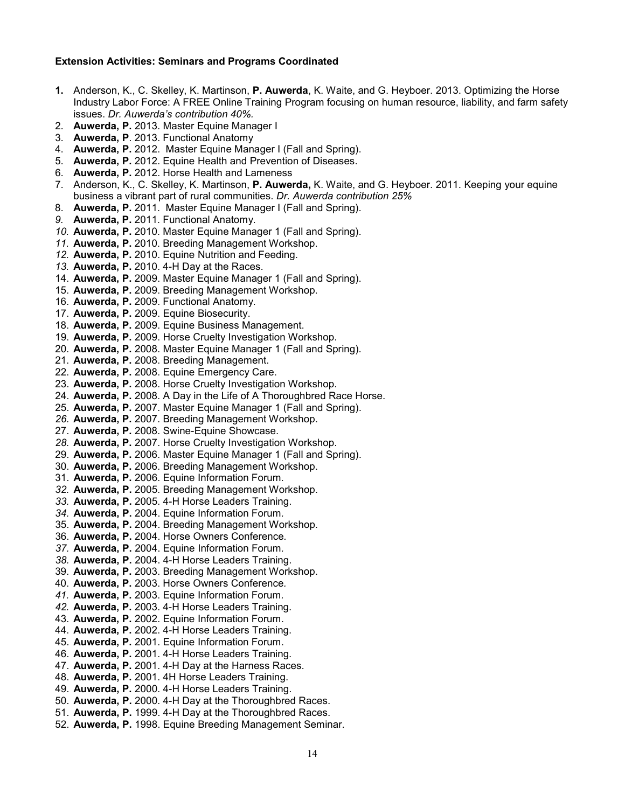#### <span id="page-13-0"></span>**Extension Activities: Seminars and Programs Coordinated**

- **1.** Anderson, K., C. Skelley, K. Martinson, **P. Auwerda**, K. Waite, and G. Heyboer. 2013. Optimizing the Horse Industry Labor Force: A FREE Online Training Program focusing on human resource, liability, and farm safety issues. *Dr. Auwerda's contribution 40%.*
- 2. **Auwerda, P.** 2013. Master Equine Manager I
- 3. **Auwerda, P**. 2013. Functional Anatomy
- 4. **Auwerda, P.** 2012. Master Equine Manager I (Fall and Spring).
- 5. **Auwerda, P.** 2012. Equine Health and Prevention of Diseases.
- 6. **Auwerda, P.** 2012. Horse Health and Lameness
- 7. Anderson, K., C. Skelley, K. Martinson, **P. Auwerda,** K. Waite, and G. Heyboer. 2011. Keeping your equine business a vibrant part of rural communities. *Dr. Auwerda contribution 25%*
- 8. **Auwerda, P.** 2011. Master Equine Manager I (Fall and Spring).
- *9.* **Auwerda, P.** 2011. Functional Anatomy.
- *10.* **Auwerda, P.** 2010. Master Equine Manager 1 (Fall and Spring).
- *11.* **Auwerda, P.** 2010. Breeding Management Workshop.
- *12.* **Auwerda, P.** 2010. Equine Nutrition and Feeding.
- *13.* **Auwerda, P.** 2010. 4-H Day at the Races.
- 14. **Auwerda, P.** 2009. Master Equine Manager 1 (Fall and Spring).
- 15. **Auwerda, P.** 2009. Breeding Management Workshop.
- 16. **Auwerda, P.** 2009. Functional Anatomy.
- 17. **Auwerda, P.** 2009. Equine Biosecurity.
- 18. **Auwerda, P.** 2009. Equine Business Management.
- 19. **Auwerda, P.** 2009. Horse Cruelty Investigation Workshop.
- 20. **Auwerda, P.** 2008. Master Equine Manager 1 (Fall and Spring).
- 21. **Auwerda, P.** 2008. Breeding Management.
- 22. **Auwerda, P.** 2008. Equine Emergency Care.
- 23. **Auwerda, P.** 2008. Horse Cruelty Investigation Workshop.
- 24. **Auwerda, P.** 2008. A Day in the Life of A Thoroughbred Race Horse.
- 25. **Auwerda, P.** 2007. Master Equine Manager 1 (Fall and Spring).
- *26.* **Auwerda, P.** 2007. Breeding Management Workshop.
- 27. **Auwerda, P.** 2008. Swine-Equine Showcase.
- *28.* **Auwerda, P.** 2007. Horse Cruelty Investigation Workshop.
- 29. **Auwerda, P.** 2006. Master Equine Manager 1 (Fall and Spring).
- 30. **Auwerda, P.** 2006. Breeding Management Workshop.
- 31. **Auwerda, P.** 2006. Equine Information Forum*.*
- *32.* **Auwerda, P.** 2005. Breeding Management Workshop.
- *33.* **Auwerda, P.** 2005. 4-H Horse Leaders Training.
- *34.* **Auwerda, P.** 2004. Equine Information Forum*.*
- 35. **Auwerda, P.** 2004. Breeding Management Workshop.
- 36. **Auwerda, P.** 2004. Horse Owners Conference*.*
- *37.* **Auwerda, P.** 2004. Equine Information Forum*.*
- *38.* **Auwerda, P.** 2004. 4-H Horse Leaders Training.
- 39. **Auwerda, P.** 2003. Breeding Management Workshop.
- 40. **Auwerda, P.** 2003. Horse Owners Conference*.*
- *41.* **Auwerda, P.** 2003. Equine Information Forum*.*
- *42.* **Auwerda, P.** 2003. 4-H Horse Leaders Training.
- 43. **Auwerda, P.** 2002. Equine Information Forum.
- 44. **Auwerda, P.** 2002. 4-H Horse Leaders Training.
- 45. **Auwerda, P.** 2001. Equine Information Forum.
- 46. **Auwerda, P.** 2001. 4-H Horse Leaders Training.
- 47. **Auwerda, P.** 2001. 4-H Day at the Harness Races.
- 48. **Auwerda, P.** 2001. 4H Horse Leaders Training.
- 49. **Auwerda, P.** 2000. 4-H Horse Leaders Training.
- 50. **Auwerda, P.** 2000. 4-H Day at the Thoroughbred Races.
- 51. **Auwerda, P.** 1999. 4-H Day at the Thoroughbred Races.
- 52. **Auwerda, P.** 1998. Equine Breeding Management Seminar.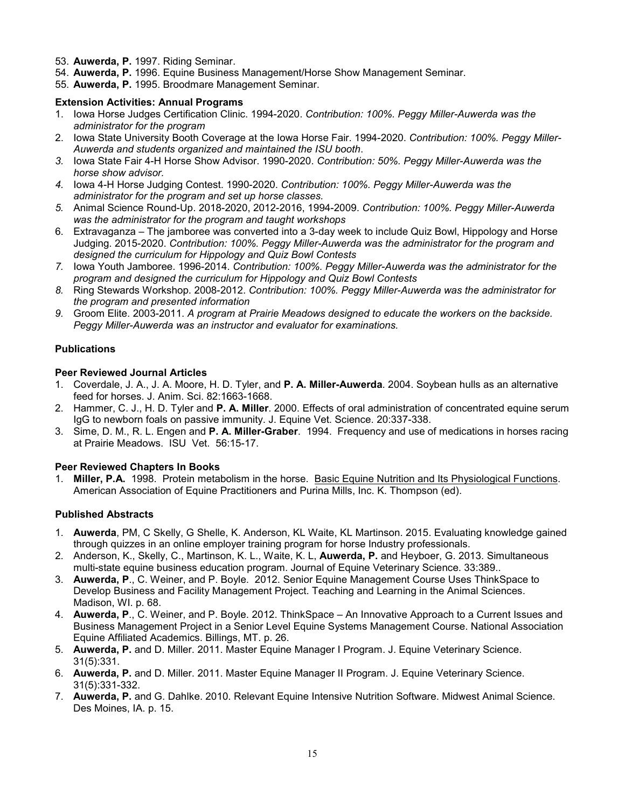- 53. **Auwerda, P.** 1997. Riding Seminar.
- 54. **Auwerda, P.** 1996. Equine Business Management/Horse Show Management Seminar.
- 55. **Auwerda, P.** 1995. Broodmare Management Seminar.

## <span id="page-14-0"></span>**Extension Activities: Annual Programs**

- 1. Iowa Horse Judges Certification Clinic. 1994-2020. *Contribution: 100%. Peggy Miller-Auwerda was the administrator for the program*
- 2. Iowa State University Booth Coverage at the Iowa Horse Fair. 1994-2020. *Contribution: 100%. Peggy Miller-Auwerda and students organized and maintained the ISU booth*.
- *3.* Iowa State Fair 4-H Horse Show Advisor. 1990-2020. *Contribution: 50%. Peggy Miller-Auwerda was the horse show advisor.*
- *4.* Iowa 4-H Horse Judging Contest. 1990-2020. *Contribution: 100%. Peggy Miller-Auwerda was the administrator for the program and set up horse classes.*
- *5.* Animal Science Round-Up. 2018-2020, 2012-2016, 1994-2009. *Contribution: 100%. Peggy Miller-Auwerda was the administrator for the program and taught workshops*
- 6. Extravaganza The jamboree was converted into a 3-day week to include Quiz Bowl, Hippology and Horse Judging. 2015-2020. *Contribution: 100%. Peggy Miller-Auwerda was the administrator for the program and designed the curriculum for Hippology and Quiz Bowl Contests*
- *7.* Iowa Youth Jamboree. 1996-2014. *Contribution: 100%. Peggy Miller-Auwerda was the administrator for the program and designed the curriculum for Hippology and Quiz Bowl Contests*
- *8.* Ring Stewards Workshop. 2008-2012. *Contribution: 100%. Peggy Miller-Auwerda was the administrator for the program and presented information*
- *9.* Groom Elite. 2003-2011. *A program at Prairie Meadows designed to educate the workers on the backside. Peggy Miller-Auwerda was an instructor and evaluator for examinations.*

## <span id="page-14-1"></span>**Publications**

## **Peer Reviewed Journal Articles**

- 1. Coverdale, J. A., J. A. Moore, H. D. Tyler, and **P. A. Miller-Auwerda**. 2004. Soybean hulls as an alternative feed for horses. J. Anim. Sci. 82:1663-1668.
- 2. Hammer, C. J., H. D. Tyler and **P. A. Miller**. 2000. Effects of oral administration of concentrated equine serum IgG to newborn foals on passive immunity. J. Equine Vet. Science. 20:337-338.
- 3. Sime, D. M., R. L. Engen and **P. A. Miller-Graber**. 1994. Frequency and use of medications in horses racing at Prairie Meadows. ISU Vet. 56:15-17.

## **Peer Reviewed Chapters In Books**

1. **Miller, P.A.** 1998. Protein metabolism in the horse. Basic Equine Nutrition and Its Physiological Functions. American Association of Equine Practitioners and Purina Mills, Inc. K. Thompson (ed).

### **Published Abstracts**

- 1. **Auwerda**, PM, C Skelly, G Shelle, K. Anderson, KL Waite, KL Martinson. 2015. Evaluating knowledge gained through quizzes in an online employer training program for horse Industry professionals.
- 2. Anderson, K., Skelly, C., Martinson, K. L., Waite, K. L, **Auwerda, P.** and Heyboer, G. 2013. Simultaneous multi-state equine business education program. Journal of Equine Veterinary Science. 33:389..
- 3. **Auwerda, P**., C. Weiner, and P. Boyle. 2012. Senior Equine Management Course Uses ThinkSpace to Develop Business and Facility Management Project. Teaching and Learning in the Animal Sciences. Madison, WI. p. 68.
- 4. **Auwerda, P**., C. Weiner, and P. Boyle. 2012. ThinkSpace An Innovative Approach to a Current Issues and Business Management Project in a Senior Level Equine Systems Management Course. National Association Equine Affiliated Academics. Billings, MT. p. 26.
- 5. **Auwerda, P.** and D. Miller. 2011. Master Equine Manager I Program. J. Equine Veterinary Science. 31(5):331.
- 6. **Auwerda, P.** and D. Miller. 2011. Master Equine Manager II Program. J. Equine Veterinary Science. 31(5):331-332.
- 7. **Auwerda, P.** and G. Dahlke. 2010. Relevant Equine Intensive Nutrition Software. Midwest Animal Science. Des Moines, IA. p. 15.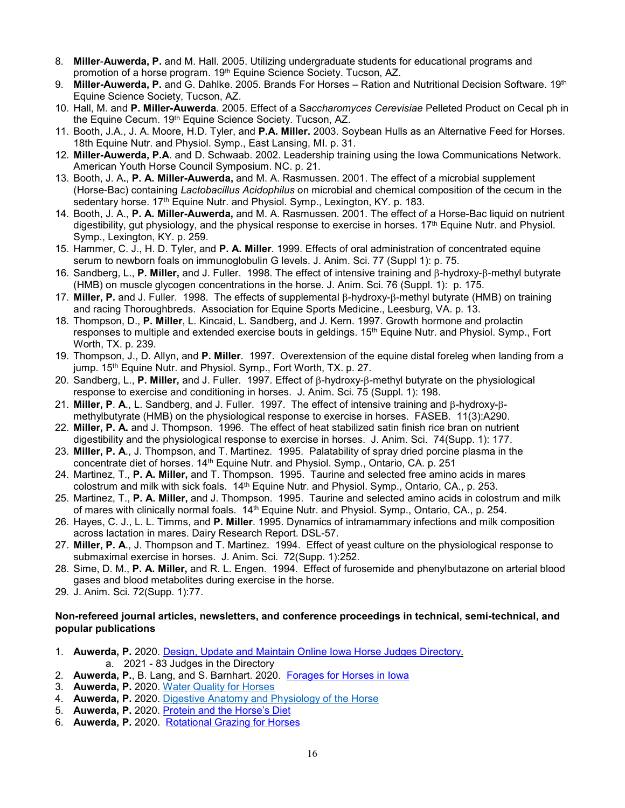- 8. **Miller**-**Auwerda, P.** and M. Hall. 2005. Utilizing undergraduate students for educational programs and promotion of a horse program. 19<sup>th</sup> Equine Science Society. Tucson, AZ.
- 9. **Miller-Auwerda, P.** and G. Dahlke. 2005. Brands For Horses Ration and Nutritional Decision Software. 19<sup>th</sup> Equine Science Society, Tucson, AZ.
- 10. Hall, M. and **P. Miller-Auwerda**. 2005. Effect of a S*accharomyces Cerevisiae* Pelleted Product on Cecal ph in the Equine Cecum. 19<sup>th</sup> Equine Science Society. Tucson, AZ.
- 11. Booth, J.A., J. A. Moore, H.D. Tyler, and **P.A. Miller.** 2003. Soybean Hulls as an Alternative Feed for Horses. 18th Equine Nutr. and Physiol. Symp., East Lansing, MI. p. 31.
- 12. **Miller-Auwerda, P.A**. and D. Schwaab. 2002. Leadership training using the Iowa Communications Network. American Youth Horse Council Symposium. NC. p. 21.
- 13. Booth, J. A**.**, **P. A. Miller-Auwerda,** and M. A. Rasmussen. 2001. The effect of a microbial supplement (Horse-Bac) containing *Lactobacillus Acidophilus* on microbial and chemical composition of the cecum in the sedentary horse. 17<sup>th</sup> Equine Nutr. and Physiol. Symp., Lexington, KY. p. 183.
- 14. Booth, J. A., **P. A. Miller-Auwerda,** and M. A. Rasmussen. 2001. The effect of a Horse-Bac liquid on nutrient digestibility, gut physiology, and the physical response to exercise in horses. 17<sup>th</sup> Equine Nutr. and Physiol. Symp., Lexington, KY. p. 259.
- 15. Hammer, C. J., H. D. Tyler, and **P. A. Miller**. 1999. Effects of oral administration of concentrated equine serum to newborn foals on immunoglobulin G levels. J. Anim. Sci. 77 (Suppl 1): p. 75.
- 16. Sandberg, L., **P. Miller,** and J. Fuller. 1998. The effect of intensive training and β-hydroxy-β-methyl butyrate (HMB) on muscle glycogen concentrations in the horse. J. Anim. Sci. 76 (Suppl. 1): p. 175.
- 17. **Miller, P.** and J. Fuller. 1998. The effects of supplemental β-hydroxy-β-methyl butyrate (HMB) on training and racing Thoroughbreds. Association for Equine Sports Medicine., Leesburg, VA. p. 13.
- 18. Thompson, D., **P. Miller**, L. Kincaid, L. Sandberg, and J. Kern. 1997. Growth hormone and prolactin responses to multiple and extended exercise bouts in geldings. 15th Equine Nutr. and Physiol. Symp., Fort Worth, TX. p. 239.
- 19. Thompson, J., D. Allyn, and **P. Miller**. 1997. Overextension of the equine distal foreleg when landing from a jump. 15<sup>th</sup> Equine Nutr. and Physiol. Symp., Fort Worth, TX. p. 27.
- 20. Sandberg, L., **P. Miller,** and J. Fuller. 1997. Effect of β-hydroxy-β-methyl butyrate on the physiological response to exercise and conditioning in horses. J. Anim. Sci. 75 (Suppl. 1): 198.
- 21. **Miller, P**. **A**., L. Sandberg, and J. Fuller. 1997. The effect of intensive training and β-hydroxy-βmethylbutyrate (HMB) on the physiological response to exercise in horses. FASEB. 11(3):A290.
- 22. **Miller, P. A.** and J. Thompson. 1996. The effect of heat stabilized satin finish rice bran on nutrient digestibility and the physiological response to exercise in horses. J. Anim. Sci. 74(Supp. 1): 177.
- 23. **Miller, P. A**., J. Thompson, and T. Martinez. 1995. Palatability of spray dried porcine plasma in the concentrate diet of horses. 14<sup>th</sup> Equine Nutr. and Physiol. Symp., Ontario, CA. p. 251
- 24. Martinez, T., **P. A. Miller,** and T. Thompson. 1995. Taurine and selected free amino acids in mares colostrum and milk with sick foals. 14<sup>th</sup> Equine Nutr. and Physiol. Symp., Ontario, CA., p. 253.
- 25. Martinez, T., **P. A. Miller,** and J. Thompson. 1995. Taurine and selected amino acids in colostrum and milk of mares with clinically normal foals. 14<sup>th</sup> Equine Nutr. and Physiol. Symp., Ontario, CA., p. 254.
- 26. Hayes, C. J., L. L. Timms, and **P. Miller**. 1995. Dynamics of intramammary infections and milk composition across lactation in mares. Dairy Research Report. DSL-57.
- 27. **Miller, P. A**., J. Thompson and T. Martinez. 1994. Effect of yeast culture on the physiological response to submaximal exercise in horses. J. Anim. Sci. 72(Supp. 1):252.
- 28. Sime, D. M., **P. A. Miller,** and R. L. Engen. 1994. Effect of furosemide and phenylbutazone on arterial blood gases and blood metabolites during exercise in the horse.
- 29. J. Anim. Sci. 72(Supp. 1):77.

## **Non-refereed journal articles, newsletters, and conference proceedings in technical, semi-technical, and popular publications**

- 1. **Auwerda, P.** 2020. [Design, Update and Maintain Online Iowa Horse Judges Directory.](https://www.extension.iastate.edu/equine/horse-judges-directory) a. 2021 - 83 Judges in the Directory
- 2. **Auwerda, P.**, B. Lang, and S. Barnhart. 2020. [Forages for Horses in Iowa](https://www.extension.iastate.edu/equine/forages-horses-iowa)
- 3. **Auwerda, P.** 2020. [Water Quality for Horses](https://www.extension.iastate.edu/equine/blog/dr-peggy-m-auwerda/water-quality-horses)
- 4. **Auwerda, P.** 2020. [Digestive Anatomy and Physiology of the Horse](https://www.extension.iastate.edu/equine/blog/dr-peggy-m-auwerda/digestive-anatomy-and-physiology-horse)
- 5. **Auwerda, P.** 2020. [Protein and the Horse's Diet](https://www.extension.iastate.edu/equine/protein-and-horse%E2%80%99s-diet)
- 6. **Auwerda, P.** 2020. [Rotational Grazing for Horses](https://www.extension.iastate.edu/equine/rotational-grazing-horses)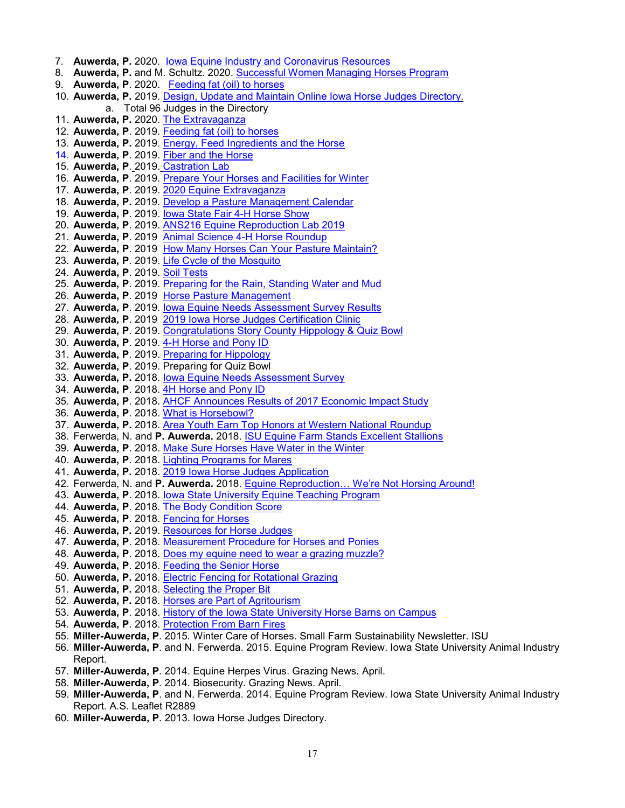- 7. **Auwerda, P.** 2020. [Iowa Equine Industry and Coronavirus Resources](https://www.extension.iastate.edu/equine/iowa-equine-industry-and-coronavirus-resources)  8. **Auwerda, P.** and M. Schultz. 2020. [Successful Women Managing Horses Program](https://www.extension.iastate.edu/equine/successful-women-managing-horses-program)  9. **Auwerda, P**. 2020. [Feeding fat \(oil\) to horses](https://www.extension.iastate.edu/equine/feeding-fat-oil-horses)  10. **Auwerda, P.** 2019. [Design, Update and Maintain Online Iowa Horse Judges Directory.](https://www.extension.iastate.edu/equine/horse-judges-directory) a. Total 96 Judges in the Directory 11. **Auwerda, P.** 2020. [The Extravaganza](https://www.extension.iastate.edu/equine/extravaganza) 12. **Auwerda, P**. 2019. [Feeding fat \(oil\) to horses](https://www.extension.iastate.edu/equine/feeding-fat-oil-horses) 13. **Auwerda, P.** 2019. [Energy, Feed Ingredients and the Horse](https://www.extension.iastate.edu/equine/blog/dr-peggy-m-auwerda/energy-feed-ingredients-and-horse) 14. **Auwerda, P**. 2019. [Fiber and the Horse](https://www.extension.iastate.edu/equine/blog/dr-peggy-m-auwerda/fiber-and-horse) 15. **Auwerda, P**. 2019. [Castration Lab](https://www.extension.iastate.edu/equine/blog/dr-peggy-m-auwerda/castration-lab) 16. Auwerda, P. 2019. [Prepare Your Horses and Facilities for Winter](https://www.extension.iastate.edu/smallfarms/prepare-your-horses-and-facilities-winter-0) 17. **Auwerda, P**. 2019. [2020 Equine Extravaganza](https://www.extension.iastate.edu/equine/blog/dr-peggy-m-auwerda/2020-equine-extravaganza) 18. **Auwerda, P.** 2019. [Develop a Pasture Management Calendar](https://www.extension.iastate.edu/equine/develop-pasture-management-calendar) 19. **Auwerda, P**. 2019. [Iowa State Fair 4-H Horse Show](https://www.extension.iastate.edu/equine/announcements/iowa-state-fair-4-h-horse-show) 20. **Auwerda, P**. 2019. [ANS216 Equine Reproduction Lab 2019](https://www.extension.iastate.edu/equine/announcements/ans216-equine-reproduction-lab-2019) 21. **Auwerda, P**. 2019 [Animal Science 4-H Horse Roundup](https://www.extension.iastate.edu/equine/blog/dr-peggy-m-auwerda/animal-science-4-h-horse-roundup) 22. **Auwerda, P**. 2019 [How Many Horses Can Your Pasture Maintain?](https://www.extension.iastate.edu/equine/how-many-horses-can-your-pasture-maintain) 23. **Auwerda, P**. 2019. [Life Cycle of the Mosquito](https://www.extension.iastate.edu/equine/blog/dr-peggy-m-auwerda/life-cycle-mosquito) 24. **Auwerda, P**. 2019. [Soil Tests](https://www.extension.iastate.edu/equine/soil-tests) 25. **Auwerda, P**. 2019. [Preparing for the Rain, Standing Water and Mud](https://www.extension.iastate.edu/equine/preparing-rain-standing-water-and-mud) 26. **Auwerda, P**. 2019 [Horse Pasture Management](https://www.extension.iastate.edu/equine/horse-pasture-management) 27. **Auwerda, P**. 2019. [Iowa Equine Needs Assessment Survey Results](https://www.extension.iastate.edu/equine/blog/dr-peggy-m-auwerda/iowa-equine-needs-assessment-survey-results) 28. Auwerda, P. 2019 [2019 Iowa Horse Judges Certification Clinic](https://www.extension.iastate.edu/equine/2019-iowa-horse-judges-certification-clinic) 29. **Auwerda, P**. 2019. [Congratulations Story County Hippology & Quiz Bowl](https://www.extension.iastate.edu/equine/blog/dr-peggy-m-auwerda/congratulations-story-county-hippology-quiz-bowl) 30. **Auwerda, P**. 2019. [4-H Horse and Pony ID](https://www.extension.iastate.edu/equine/blog/dr-peggy-m-auwerda/4h-horse-and-pony-id) 31. **Auwerda, P**. 2019. [Preparing for Hippology](https://www.extension.iastate.edu/equine/preparing-hippology) 32. **Auwerda, P**. 2019. Preparing for Quiz Bowl 33. **Auwerda, P.** 2018. [Iowa Equine Needs Assessment Survey](https://www.extension.iastate.edu/equine/blog/dr-peggy-m-auwerda/iowa-equine-needs-assessment-survey) 34. **Auwerda, P**. 2018. [4H Horse and Pony ID](https://www.extension.iastate.edu/equine/blog/dr-peggy-m-auwerda/4h-horse-and-pony-id) 35. **Auwerda, P**. 2018. [AHCF Announces Results of 2017 Economic Impact Study](https://www.extension.iastate.edu/equine/blog/dr-peggy-m-auwerda/ahcf-announces-results-2017-economic-impact-study) 36. **Auwerda, P**. 2018. [What is Horsebowl?](https://www.extension.iastate.edu/equine/blog/dr-peggy-m-auwerda/what-horsebowl) 37. **Auwerda, P.** 2018. [Area Youth Earn Top Honors at Western National Roundup](https://www.extension.iastate.edu/equine/blog/dr-peggy-m-auwerda/area-youth-earn-top-honors-western-national-roundup) 38. Ferwerda, N. and **P. Auwerda.** [2018. ISU Equine Farm Stands Excellent Stallions](https://www.extension.iastate.edu/equine/blog/dr-peggy-m-auwerda/isu-equine-farm-stands-excellent-stallions) 39. **Auwerda, P**. 2018. [Make Sure Horses Have Water in the Winter](https://www.extension.iastate.edu/equine/blog/dr-peggy-m-auwerda/make-sure-horses-have-water-winter) 40. **Auwerda, P**. 2018. [Lighting Programs for Mares](https://www.extension.iastate.edu/equine/lighting-programs-mares) 41. **Auwerda, P.** 2018. 2019 Iowa Horse Judges Application 42. Ferwerda, N. and **P. Auwerda.** 2018. [Equine Reproduction… We're Not Horsing Around!](https://www.extension.iastate.edu/equine/equine-reproduction%E2%80%A6-we%E2%80%99re-not-horsing-around) 43. **Auwerda, P**. 2018. [Iowa State University Equine Teaching Program](https://www.extension.iastate.edu/equine/iowa-state-university-equine-teaching-program) 44. **Auwerda, P**. 2018. [The Body Condition Score](https://www.extension.iastate.edu/equine/body-condition-score) 45. **Auwerda, P**. 2018. [Fencing for Horses](https://www.extension.iastate.edu/equine/fencing-horses) 46. **Auwerda, P.** 2019. [Resources for Horse Judges](https://www.extension.iastate.edu/equine/resources-horse-judges) 47. **Auwerda, P**. 2018. [Measurement Procedure for Horses and Ponies](https://www.extension.iastate.edu/equine/measurement-procedure-horses-and-ponies) 48. **Auwerda, P**. 2018. [Does my equine need to wear a grazing muzzle?](https://www.extension.iastate.edu/equine/does-my-equine-need-wear-grazing-muzzle) 49. **Auwerda, P**. 2018. [Feeding the Senior Horse](https://www.extension.iastate.edu/equine/feeding-senior-horse) 50. **Auwerda, P.** 2018. [Electric Fencing for Rotational Grazing](https://www.extension.iastate.edu/equine/electric-fencing-rotational-grazing) 51. **Auwerda, P.** 2018. [Selecting the Proper Bit](https://www.extension.iastate.edu/equine/selecting-proper-bit) 52. **Auwerda, P.** 2018. [Horses are Part of Agritourism](https://www.extension.iastate.edu/equine/horses-are-part-agritourism) 53. **Auwerda, P**. 2018. [History of the Iowa State University Horse Barns on Campus](https://www.extension.iastate.edu/equine/history-iowa-state-university-horse-barns-campus) 54. **Auwerda, P**. 2018. [Protection From Barn Fires](https://www.extension.iastate.edu/equine/protection-barn-fires) 55. **Miller-Auwerda, P**. 2015. Winter Care of Horses. Small Farm Sustainability Newsletter. ISU 56. **Miller-Auwerda, P**. and N. Ferwerda. 2015. Equine Program Review. Iowa State University Animal Industry
	- Report. 57. **Miller-Auwerda, P**. 2014. Equine Herpes Virus. Grazing News. April.
	- 58. **Miller-Auwerda, P**. 2014. Biosecurity. Grazing News. April.
	- 59. **Miller-Auwerda, P**. and N. Ferwerda. 2014. Equine Program Review. Iowa State University Animal Industry Report. A.S. Leaflet R2889
	- 60. **Miller-Auwerda, P**. 2013. Iowa Horse Judges Directory.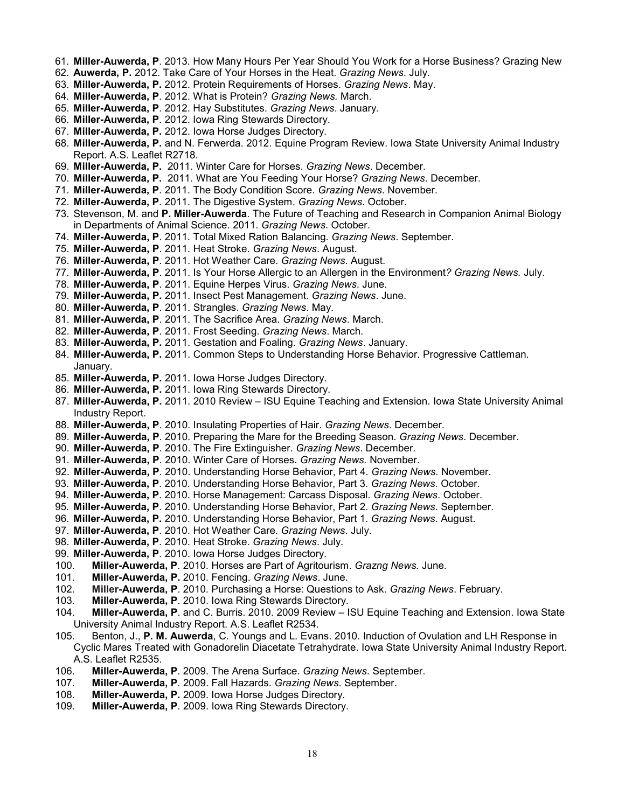- 61. **Miller-Auwerda, P**. 2013. How Many Hours Per Year Should You Work for a Horse Business? Grazing New
- 62. **Auwerda, P.** 2012. Take Care of Your Horses in the Heat. *Grazing News*. July.
- 63. **Miller-Auwerda, P.** 2012. Protein Requirements of Horses. *Grazing News*. May.
- 64. **Miller-Auwerda, P**. 2012. What is Protein? *Grazing News.* March.
- 65. **Miller-Auwerda, P**. 2012. Hay Substitutes. *Grazing News*. January.
- 66. **Miller-Auwerda, P**. 2012. Iowa Ring Stewards Directory.
- 67. **Miller-Auwerda, P.** 2012. Iowa Horse Judges Directory.
- 68. **Miller-Auwerda, P.** and N. Ferwerda. 2012. Equine Program Review. Iowa State University Animal Industry Report. A.S. Leaflet R2718.
- 69. **Miller-Auwerda, P.** 2011. Winter Care for Horses. *Grazing News*. December.
- 70. **Miller-Auwerda, P.** 2011. What are You Feeding Your Horse? *Grazing News*. December.
- 71. **Miller-Auwerda, P**. 2011. The Body Condition Score. *Grazing News*. November.
- 72. **Miller-Auwerda, P**. 2011. The Digestive System. *Grazing News*. October.
- 73. Stevenson, M. and **P. Miller-Auwerda**. The Future of Teaching and Research in Companion Animal Biology in Departments of Animal Science. 2011. *Grazing News*. October.
- 74. **Miller-Auwerda, P**. 2011. Total Mixed Ration Balancing. *Grazing News*. September.
- 75. **Miller-Auwerda, P**. 2011. Heat Stroke. *Grazing News*. August.
- 76. **Miller-Auwerda, P**. 2011. Hot Weather Care. *Grazing News*. August.
- 77. **Miller-Auwerda, P**. 2011. Is Your Horse Allergic to an Allergen in the Environment*? Grazing News.* July.
- 78. **Miller-Auwerda, P**. 2011. Equine Herpes Virus. *Grazing News*. June.
- 79. **Miller-Auwerda, P.** 2011. Insect Pest Management. *Grazing News*. June.
- 80. **Miller-Auwerda, P**. 2011. Strangles. *Grazing News*. May.
- 81. **Miller-Auwerda, P**. 2011. The Sacrifice Area. *Grazing News*. March.
- 82. **Miller-Auwerda, P**. 2011. Frost Seeding. *Grazing News*. March.
- 83. **Miller-Auwerda, P.** 2011. Gestation and Foaling. *Grazing News*. January.
- 84. **Miller-Auwerda, P.** 2011. Common Steps to Understanding Horse Behavior. Progressive Cattleman. January.
- 85. **Miller-Auwerda, P.** 2011. Iowa Horse Judges Directory.
- 86. **Miller-Auwerda, P.** 2011. Iowa Ring Stewards Directory.
- 87. **Miller-Auwerda, P.** 2011. 2010 Review ISU Equine Teaching and Extension. Iowa State University Animal Industry Report.
- 88. **Miller-Auwerda, P**. 2010. Insulating Properties of Hair. *Grazing News*. December.
- 89. **Miller-Auwerda, P**. 2010. Preparing the Mare for the Breeding Season. *Grazing News*. December.
- 90. **Miller-Auwerda, P**. 2010. The Fire Extinguisher. *Grazing News*. December.
- 91. **Miller-Auwerda, P**. 2010. Winter Care of Horses. *Grazing News.* November.
- 92. **Miller-Auwerda, P**. 2010. Understanding Horse Behavior, Part 4. *Grazing News*. November.
- 93. **Miller-Auwerda, P**. 2010. Understanding Horse Behavior, Part 3. *Grazing News*. October.
- 94. **Miller-Auwerda, P**. 2010. Horse Management: Carcass Disposal. *Grazing News*. October.
- 95. **Miller-Auwerda, P**. 2010. Understanding Horse Behavior, Part 2. *Grazing News*. September.
- 96. **Miller-Auwerda, P.** 2010. Understanding Horse Behavior, Part 1. *Grazing News*. August.
- 97. **Miller-Auwerda, P**. 2010. Hot Weather Care. *Grazing News*. July.
- 98. **Miller-Auwerda, P**. 2010. Heat Stroke. *Grazing News*. July.
- 99. **Miller-Auwerda, P**. 2010. Iowa Horse Judges Directory.
- 100. **Miller-Auwerda, P**. 2010. Horses are Part of Agritourism. *Grazng News.* June.
- 101. **Miller-Auwerda, P.** 2010. Fencing. *Grazing News*. June.
- 102. **Miller-Auwerda, P**. 2010. Purchasing a Horse: Questions to Ask. *Grazing News*. February.
- 103. **Miller-Auwerda, P**. 2010. Iowa Ring Stewards Directory.
- 104. **Miller-Auwerda, P**. and C. Burris. 2010. 2009 Review ISU Equine Teaching and Extension. Iowa State University Animal Industry Report. A.S. Leaflet R2534.
- 105. Benton, J., **P. M. Auwerda**, C. Youngs and L. Evans. 2010. Induction of Ovulation and LH Response in Cyclic Mares Treated with Gonadorelin Diacetate Tetrahydrate. Iowa State University Animal Industry Report. A.S. Leaflet R2535.
- 106. **Miller-Auwerda, P**. 2009. The Arena Surface. *Grazing News*. September.
- 107. **Miller-Auwerda, P**. 2009. Fall Hazards. *Grazing News*. September.
- 108. **Miller-Auwerda, P.** 2009. Iowa Horse Judges Directory.
- 109. **Miller-Auwerda, P**. 2009. Iowa Ring Stewards Directory.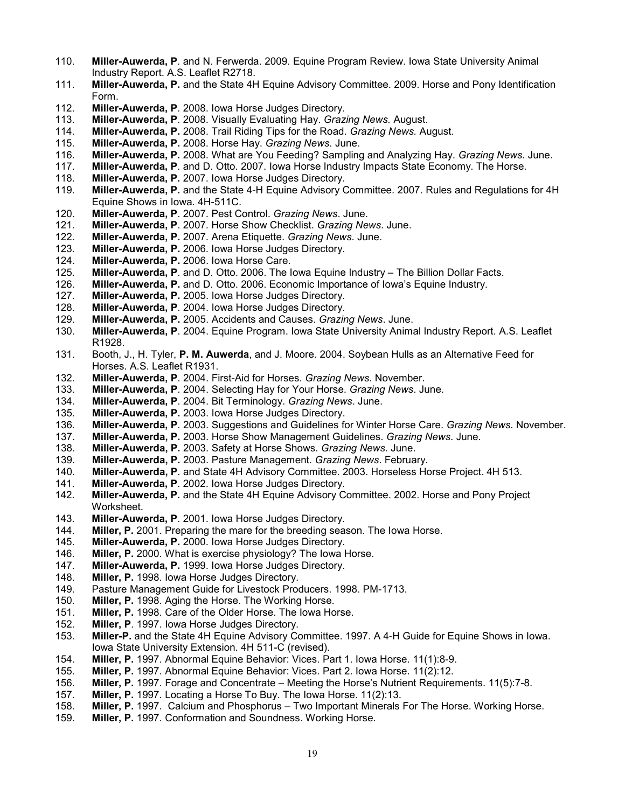- 110. **Miller-Auwerda, P**. and N. Ferwerda. 2009. Equine Program Review. Iowa State University Animal Industry Report. A.S. Leaflet R2718.
- 111. **Miller-Auwerda, P.** and the State 4H Equine Advisory Committee. 2009. Horse and Pony Identification Form.
- 112. **Miller-Auwerda, P**. 2008. Iowa Horse Judges Directory.
- 113. **Miller-Auwerda, P**. 2008. Visually Evaluating Hay. *Grazing News.* August.
- 114. **Miller-Auwerda, P.** 2008. Trail Riding Tips for the Road. *Grazing News.* August.
- 115. **Miller-Auwerda, P.** 2008. Horse Hay. *Grazing News*. June.
- 116. **Miller-Auwerda, P.** 2008. What are You Feeding? Sampling and Analyzing Hay. *Grazing News*. June.
- 117. **Miller-Auwerda, P**. and D. Otto. 2007. Iowa Horse Industry Impacts State Economy. The Horse.
- 118. **Miller-Auwerda, P.** 2007. Iowa Horse Judges Directory.
- 119. **Miller-Auwerda, P.** and the State 4-H Equine Advisory Committee. 2007. Rules and Regulations for 4H Equine Shows in Iowa. 4H-511C.
- 120. **Miller-Auwerda, P**. 2007. Pest Control. *Grazing News*. June.
- 121. **Miller-Auwerda, P**. 2007. Horse Show Checklist. *Grazing News*. June.
- 122. **Miller-Auwerda, P.** 2007. Arena Etiquette. *Grazing News*. June.
- 123. **Miller-Auwerda, P.** 2006. Iowa Horse Judges Directory.
- Miller-Auwerda, P. 2006. Iowa Horse Care.
- 125. **Miller-Auwerda, P**. and D. Otto. 2006. The Iowa Equine Industry The Billion Dollar Facts.<br>126. **Miller-Auwerda, P.** and D. Otto. 2006. Economic Importance of Iowa's Equine Industry.
- 126. **Miller-Auwerda, P.** and D. Otto. 2006. Economic Importance of Iowa's Equine Industry.
- **Miller-Auwerda, P.** 2005. Iowa Horse Judges Directory.
- 128. **Miller-Auwerda, P**. 2004. Iowa Horse Judges Directory.
- 129. **Miller-Auwerda, P.** 2005. Accidents and Causes. *Grazing News*. June.
- 130. **Miller-Auwerda, P**. 2004. Equine Program. Iowa State University Animal Industry Report. A.S. Leaflet R1928.
- 131. Booth, J., H. Tyler, **P. M. Auwerda**, and J. Moore. 2004. Soybean Hulls as an Alternative Feed for Horses. A.S. Leaflet R1931.
- 132. **Miller-Auwerda, P**. 2004. First-Aid for Horses. *Grazing News*. November.
- 133. **Miller-Auwerda, P**. 2004. Selecting Hay for Your Horse. *Grazing News*. June.
- 134. **Miller-Auwerda, P**. 2004. Bit Terminology. *Grazing News*. June.
- 135. **Miller-Auwerda, P.** 2003. Iowa Horse Judges Directory.
- 136. **Miller-Auwerda, P**. 2003. Suggestions and Guidelines for Winter Horse Care. *Grazing News*. November.
- 137. **Miller-Auwerda, P.** 2003. Horse Show Management Guidelines. *Grazing News*. June.
- 138. **Miller-Auwerda, P.** 2003. Safety at Horse Shows. *Grazing News*. June.
- 139. **Miller-Auwerda, P.** 2003. Pasture Management. *Grazing News*. February.
- 140. **Miller-Auwerda, P**. and State 4H Advisory Committee. 2003. Horseless Horse Project. 4H 513.
- Miller-Auwerda, P. 2002. Iowa Horse Judges Directory.
- 142. **Miller-Auwerda, P.** and the State 4H Equine Advisory Committee. 2002. Horse and Pony Project Worksheet.
- 143. **Miller-Auwerda, P**. 2001. Iowa Horse Judges Directory.
- 144. **Miller, P.** 2001. Preparing the mare for the breeding season. The Iowa Horse.
- 145. **Miller-Auwerda, P.** 2000. Iowa Horse Judges Directory.
- 146. **Miller, P.** 2000. What is exercise physiology? The Iowa Horse.
- 147. **Miller-Auwerda, P.** 1999. Iowa Horse Judges Directory.
- 148. **Miller, P.** 1998. Iowa Horse Judges Directory.<br>149. Pasture Management Guide for Livestock Proc
- Pasture Management Guide for Livestock Producers. 1998. PM-1713.
- 
- 150. **Miller, P.** 1998. Aging the Horse. The Working Horse. 151. **Miller, P.** 1998. Care of the Older Horse. The Iowa Horse.
- Miller, P. 1997. Iowa Horse Judges Directory.
- 153. **Miller-P.** and the State 4H Equine Advisory Committee. 1997. A 4-H Guide for Equine Shows in Iowa. Iowa State University Extension. 4H 511-C (revised).
- 154. **Miller, P.** 1997. Abnormal Equine Behavior: Vices. Part 1. Iowa Horse. 11(1):8-9.
- 155. **Miller, P.** 1997. Abnormal Equine Behavior: Vices. Part 2. Iowa Horse. 11(2):12.
- 156. **Miller, P.** 1997. Forage and Concentrate Meeting the Horse's Nutrient Requirements. 11(5):7-8.
- 157. **Miller, P.** 1997. Locating a Horse To Buy. The Iowa Horse. 11(2):13.
- 158. **Miller, P.** 1997. Calcium and Phosphorus Two Important Minerals For The Horse. Working Horse.
- Miller, P. 1997. Conformation and Soundness. Working Horse.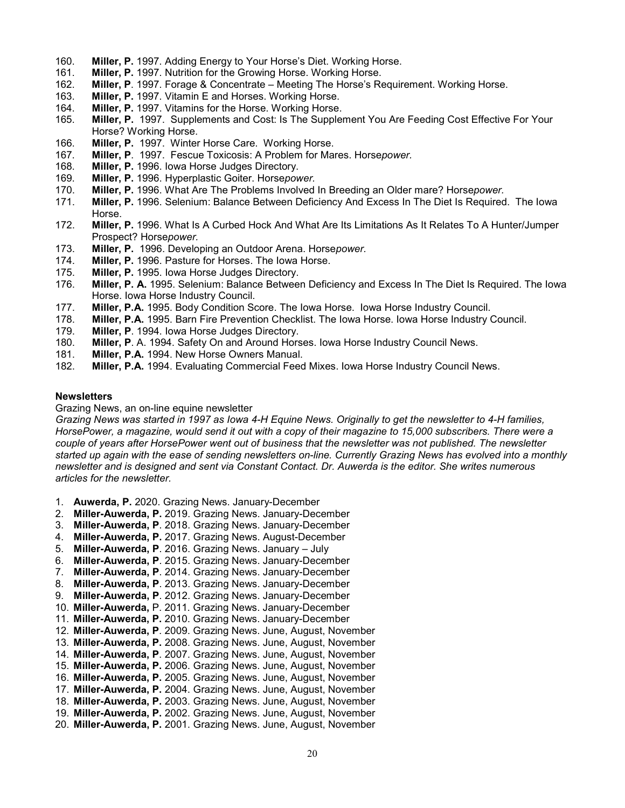- 160. **Miller, P.** 1997. Adding Energy to Your Horse's Diet. Working Horse.
- 161. **Miller, P.** 1997. Nutrition for the Growing Horse. Working Horse.<br>162. **Miller, P**. 1997. Forage & Concentrate Meeting The Horse's Re
- 162. **Miller, P**. 1997. Forage & Concentrate Meeting The Horse's Requirement. Working Horse.
- Miller, P. 1997. Vitamin E and Horses. Working Horse.
- 164. **Miller, P.** 1997. Vitamins for the Horse. Working Horse.
- 165. **Miller, P.** 1997. Supplements and Cost: Is The Supplement You Are Feeding Cost Effective For Your Horse? Working Horse.
- 166. **Miller, P.** 1997. Winter Horse Care. Working Horse.
- 167. **Miller, P**. 1997. Fescue Toxicosis: A Problem for Mares. Horse*power.*
- 168. **Miller, P.** 1996. Iowa Horse Judges Directory.
- 169. **Miller, P.** 1996. Hyperplastic Goiter. Horse*power.*
- 170. **Miller, P.** 1996. What Are The Problems Involved In Breeding an Older mare? Horse*power.*
- 171. **Miller, P.** 1996. Selenium: Balance Between Deficiency And Excess In The Diet Is Required. The Iowa Horse.
- 172. **Miller, P.** 1996. What Is A Curbed Hock And What Are Its Limitations As It Relates To A Hunter/Jumper Prospect? Horse*power.*
- 173. **Miller, P.** 1996. Developing an Outdoor Arena. Horse*power.*
- 174. **Miller, P.** 1996. Pasture for Horses. The Iowa Horse.
- 175. **Miller, P.** 1995. Iowa Horse Judges Directory.
- 176. **Miller, P. A.** 1995. Selenium: Balance Between Deficiency and Excess In The Diet Is Required. The Iowa Horse. Iowa Horse Industry Council.
- 177. **Miller, P.A.** 1995. Body Condition Score. The Iowa Horse. Iowa Horse Industry Council.
- Miller, P.A. 1995. Barn Fire Prevention Checklist. The Iowa Horse. Iowa Horse Industry Council.
- 179. **Miller, P**. 1994. Iowa Horse Judges Directory.
- 180. **Miller, P**. A. 1994. Safety On and Around Horses. Iowa Horse Industry Council News.<br>181. **Miller, P.A.** 1994. New Horse Owners Manual.
- 181. **Miller, P.A.** 1994. New Horse Owners Manual.
- **Miller, P.A.** 1994. Evaluating Commercial Feed Mixes. Iowa Horse Industry Council News.

#### **Newsletters**

Grazing News, an on-line equine newsletter

*Grazing News was started in 1997 as Iowa 4-H Equine News. Originally to get the newsletter to 4-H families, HorsePower, a magazine, would send it out with a copy of their magazine to 15,000 subscribers. There were a couple of years after HorsePower went out of business that the newsletter was not published. The newsletter started up again with the ease of sending newsletters on-line. Currently Grazing News has evolved into a monthly newsletter and is designed and sent via Constant Contact. Dr. Auwerda is the editor. She writes numerous articles for the newsletter.*

- 1. **Auwerda, P.** 2020. Grazing News. January-December
- 2. **Miller-Auwerda, P.** 2019. Grazing News. January-December
- 3. **Miller-Auwerda, P**. 2018. Grazing News. January-December
- 4. **Miller-Auwerda, P.** 2017. Grazing News. August-December
- 5. **Miller-Auwerda, P**. 2016. Grazing News. January July
- 6. **Miller-Auwerda, P**. 2015. Grazing News. January-December
- 7. **Miller-Auwerda, P**. 2014. Grazing News. January-December
- 8. **Miller-Auwerda, P**. 2013. Grazing News. January-December
- 9. **Miller-Auwerda, P**. 2012. Grazing News. January-December
- 10. **Miller-Auwerda,** P. 2011. Grazing News. January-December
- 11. **Miller-Auwerda, P.** 2010. Grazing News. January-December
- 12. **Miller-Auwerda, P**. 2009. Grazing News. June, August, November
- 13. **Miller-Auwerda, P.** 2008. Grazing News. June, August, November
- 14. **Miller-Auwerda, P**. 2007. Grazing News. June, August, November
- 15. **Miller-Auwerda, P.** 2006. Grazing News. June, August, November
- 16. **Miller-Auwerda, P.** 2005. Grazing News. June, August, November
- 17. **Miller-Auwerda, P.** 2004. Grazing News. June, August, November
- 18. **Miller-Auwerda, P.** 2003. Grazing News. June, August, November
- 19. **Miller-Auwerda, P.** 2002. Grazing News. June, August, November
- 20. **Miller-Auwerda, P.** 2001. Grazing News. June, August, November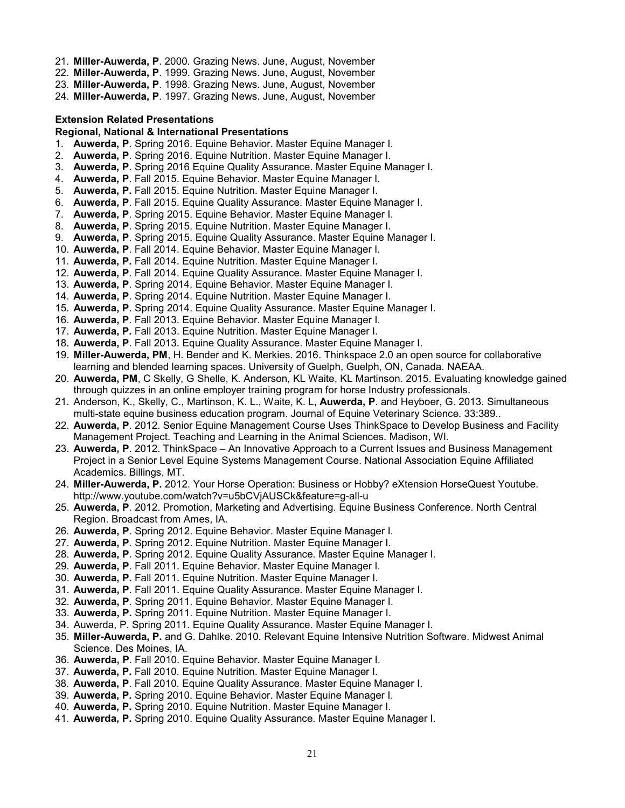- 21. **Miller-Auwerda, P**. 2000. Grazing News. June, August, November
- 22. **Miller-Auwerda, P**. 1999. Grazing News. June, August, November
- 23. **Miller-Auwerda, P**. 1998. Grazing News. June, August, November

24. **Miller-Auwerda, P**. 1997. Grazing News. June, August, November

### <span id="page-20-0"></span>**Extension Related Presentations**

#### **Regional, National & International Presentations**

- 1. **Auwerda, P**. Spring 2016. Equine Behavior. Master Equine Manager I.
- 2. **Auwerda, P**. Spring 2016. Equine Nutrition. Master Equine Manager I.
- 3. **Auwerda, P**. Spring 2016 Equine Quality Assurance. Master Equine Manager I.
- 4. **Auwerda, P**. Fall 2015. Equine Behavior. Master Equine Manager I.
- 5. **Auwerda, P.** Fall 2015. Equine Nutrition. Master Equine Manager I.
- 6. **Auwerda, P**. Fall 2015. Equine Quality Assurance. Master Equine Manager I.
- 7. **Auwerda, P**. Spring 2015. Equine Behavior. Master Equine Manager I.
- 8. **Auwerda, P**. Spring 2015. Equine Nutrition. Master Equine Manager I.
- 9. **Auwerda, P**. Spring 2015. Equine Quality Assurance. Master Equine Manager I.
- 10. **Auwerda, P**. Fall 2014. Equine Behavior. Master Equine Manager I.
- 11. **Auwerda, P.** Fall 2014. Equine Nutrition. Master Equine Manager I.
- 12. **Auwerda, P**. Fall 2014. Equine Quality Assurance. Master Equine Manager I.
- 13. **Auwerda, P**. Spring 2014. Equine Behavior. Master Equine Manager I.
- 14. **Auwerda, P**. Spring 2014. Equine Nutrition. Master Equine Manager I.
- 15. **Auwerda, P**. Spring 2014. Equine Quality Assurance. Master Equine Manager I.
- 16. **Auwerda, P**. Fall 2013. Equine Behavior. Master Equine Manager I.
- 17. **Auwerda, P.** Fall 2013. Equine Nutrition. Master Equine Manager I.
- 18. **Auwerda, P**. Fall 2013. Equine Quality Assurance. Master Equine Manager I.
- 19. **Miller-Auwerda, PM**, H. Bender and K. Merkies. 2016. Thinkspace 2.0 an open source for collaborative learning and blended learning spaces. University of Guelph, Guelph, ON, Canada. NAEAA.
- 20. **Auwerda, PM**, C Skelly, G Shelle, K. Anderson, KL Waite, KL Martinson. 2015. Evaluating knowledge gained through quizzes in an online employer training program for horse Industry professionals.
- 21. Anderson, K., Skelly, C., Martinson, K. L., Waite, K. L, **Auwerda, P**. and Heyboer, G. 2013. Simultaneous multi-state equine business education program. Journal of Equine Veterinary Science. 33:389..
- 22. **Auwerda, P**. 2012. Senior Equine Management Course Uses ThinkSpace to Develop Business and Facility Management Project. Teaching and Learning in the Animal Sciences. Madison, WI.
- 23. **Auwerda, P**. 2012. ThinkSpace An Innovative Approach to a Current Issues and Business Management Project in a Senior Level Equine Systems Management Course. National Association Equine Affiliated Academics. Billings, MT.
- 24. **Miller-Auwerda, P.** 2012. Your Horse Operation: Business or Hobby? eXtension HorseQuest Youtube. http://www.youtube.com/watch?v=u5bCVjAUSCk&feature=g-all-u
- 25. **Auwerda, P**. 2012. Promotion, Marketing and Advertising. Equine Business Conference. North Central Region. Broadcast from Ames, IA.
- 26. **Auwerda, P**. Spring 2012. Equine Behavior. Master Equine Manager I.
- 27. **Auwerda, P**. Spring 2012. Equine Nutrition. Master Equine Manager I.
- 28. **Auwerda, P**. Spring 2012. Equine Quality Assurance. Master Equine Manager I.
- 29. **Auwerda, P**. Fall 2011. Equine Behavior. Master Equine Manager I.
- 30. **Auwerda, P.** Fall 2011. Equine Nutrition. Master Equine Manager I.
- 31. **Auwerda, P**. Fall 2011. Equine Quality Assurance. Master Equine Manager I.
- 32. **Auwerda, P**. Spring 2011. Equine Behavior. Master Equine Manager I.
- 33. **Auwerda, P.** Spring 2011. Equine Nutrition. Master Equine Manager I.
- 34. Auwerda, P. Spring 2011. Equine Quality Assurance. Master Equine Manager I.
- 35. **Miller-Auwerda, P.** and G. Dahlke. 2010. Relevant Equine Intensive Nutrition Software. Midwest Animal Science. Des Moines, IA.
- 36. **Auwerda, P**. Fall 2010. Equine Behavior. Master Equine Manager I.
- 37. **Auwerda, P.** Fall 2010. Equine Nutrition. Master Equine Manager I.
- 38. **Auwerda, P**. Fall 2010. Equine Quality Assurance. Master Equine Manager I.
- 39. **Auwerda, P.** Spring 2010. Equine Behavior. Master Equine Manager I.
- 40. **Auwerda, P.** Spring 2010. Equine Nutrition. Master Equine Manager I.
- 41. **Auwerda, P.** Spring 2010. Equine Quality Assurance. Master Equine Manager I.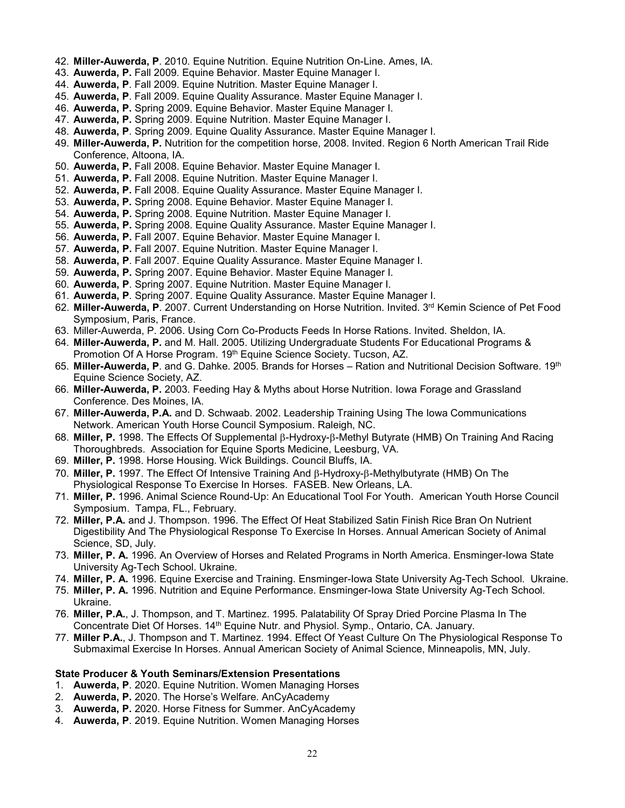- 42. **Miller-Auwerda, P**. 2010. Equine Nutrition. Equine Nutrition On-Line. Ames, IA.
- 43. **Auwerda, P.** Fall 2009. Equine Behavior. Master Equine Manager I.
- 44. **Auwerda, P**. Fall 2009. Equine Nutrition. Master Equine Manager I.
- 45. **Auwerda, P**. Fall 2009. Equine Quality Assurance. Master Equine Manager I.
- 46. **Auwerda, P.** Spring 2009. Equine Behavior. Master Equine Manager I.
- 47. **Auwerda, P.** Spring 2009. Equine Nutrition. Master Equine Manager I.
- 48. **Auwerda, P**. Spring 2009. Equine Quality Assurance. Master Equine Manager I.
- 49. **Miller-Auwerda, P.** Nutrition for the competition horse, 2008. Invited. Region 6 North American Trail Ride Conference, Altoona, IA.
- 50. **Auwerda, P.** Fall 2008. Equine Behavior. Master Equine Manager I.
- 51. **Auwerda, P.** Fall 2008. Equine Nutrition. Master Equine Manager I.
- 52. **Auwerda, P.** Fall 2008. Equine Quality Assurance. Master Equine Manager I.
- 53. **Auwerda, P.** Spring 2008. Equine Behavior. Master Equine Manager I.
- 54. **Auwerda, P.** Spring 2008. Equine Nutrition. Master Equine Manager I.
- 55. **Auwerda, P.** Spring 2008. Equine Quality Assurance. Master Equine Manager I.
- 56. **Auwerda, P.** Fall 2007. Equine Behavior. Master Equine Manager I.
- 57. **Auwerda, P.** Fall 2007. Equine Nutrition. Master Equine Manager I.
- 58. **Auwerda, P**. Fall 2007. Equine Quality Assurance. Master Equine Manager I.
- 59. **Auwerda, P.** Spring 2007. Equine Behavior. Master Equine Manager I.
- 60. **Auwerda, P**. Spring 2007. Equine Nutrition. Master Equine Manager I.
- 61. **Auwerda, P**. Spring 2007. Equine Quality Assurance. Master Equine Manager I.
- 62. **Miller-Auwerda, P**. 2007. Current Understanding on Horse Nutrition. Invited. 3rd Kemin Science of Pet Food Symposium, Paris, France.
- 63. Miller-Auwerda, P. 2006. Using Corn Co-Products Feeds In Horse Rations. Invited. Sheldon, IA.
- 64. **Miller-Auwerda, P.** and M. Hall. 2005. Utilizing Undergraduate Students For Educational Programs & Promotion Of A Horse Program. 19<sup>th</sup> Equine Science Society. Tucson, AZ.
- 65. **Miller-Auwerda, P**. and G. Dahke. 2005. Brands for Horses Ration and Nutritional Decision Software. 19th Equine Science Society, AZ.
- 66. **Miller-Auwerda, P.** 2003. Feeding Hay & Myths about Horse Nutrition. Iowa Forage and Grassland Conference. Des Moines, IA.
- 67. **Miller-Auwerda, P.A.** and D. Schwaab. 2002. Leadership Training Using The Iowa Communications Network. American Youth Horse Council Symposium. Raleigh, NC.
- 68. **Miller, P.** 1998. The Effects Of Supplemental β-Hydroxy-β-Methyl Butyrate (HMB) On Training And Racing Thoroughbreds. Association for Equine Sports Medicine, Leesburg, VA.
- 69. **Miller, P.** 1998. Horse Housing. Wick Buildings. Council Bluffs, IA.
- 70. **Miller, P.** 1997. The Effect Of Intensive Training And β-Hydroxy-β-Methylbutyrate (HMB) On The Physiological Response To Exercise In Horses. FASEB. New Orleans, LA.
- 71. **Miller, P.** 1996. Animal Science Round-Up: An Educational Tool For Youth. American Youth Horse Council Symposium. Tampa, FL., February.
- 72. **Miller, P.A.** and J. Thompson. 1996. The Effect Of Heat Stabilized Satin Finish Rice Bran On Nutrient Digestibility And The Physiological Response To Exercise In Horses. Annual American Society of Animal Science, SD, July.
- 73. **Miller, P. A.** 1996. An Overview of Horses and Related Programs in North America. Ensminger-Iowa State University Ag-Tech School. Ukraine.
- 74. **Miller, P. A.** 1996. Equine Exercise and Training. Ensminger-Iowa State University Ag-Tech School. Ukraine.
- 75. **Miller, P. A.** 1996. Nutrition and Equine Performance. Ensminger-Iowa State University Ag-Tech School. Ukraine.
- 76. **Miller, P.A.**, J. Thompson, and T. Martinez. 1995. Palatability Of Spray Dried Porcine Plasma In The Concentrate Diet Of Horses. 14th Equine Nutr. and Physiol. Symp., Ontario, CA. January.
- 77. **Miller P.A.**, J. Thompson and T. Martinez. 1994. Effect Of Yeast Culture On The Physiological Response To Submaximal Exercise In Horses. Annual American Society of Animal Science, Minneapolis, MN, July.

#### **State Producer & Youth Seminars/Extension Presentations**

- 1. **Auwerda, P**. 2020. Equine Nutrition. Women Managing Horses
- 2. **Auwerda, P.** 2020. The Horse's Welfare. AnCyAcademy
- 3. **Auwerda, P.** 2020. Horse Fitness for Summer. AnCyAcademy
- 4. **Auwerda, P**. 2019. Equine Nutrition. Women Managing Horses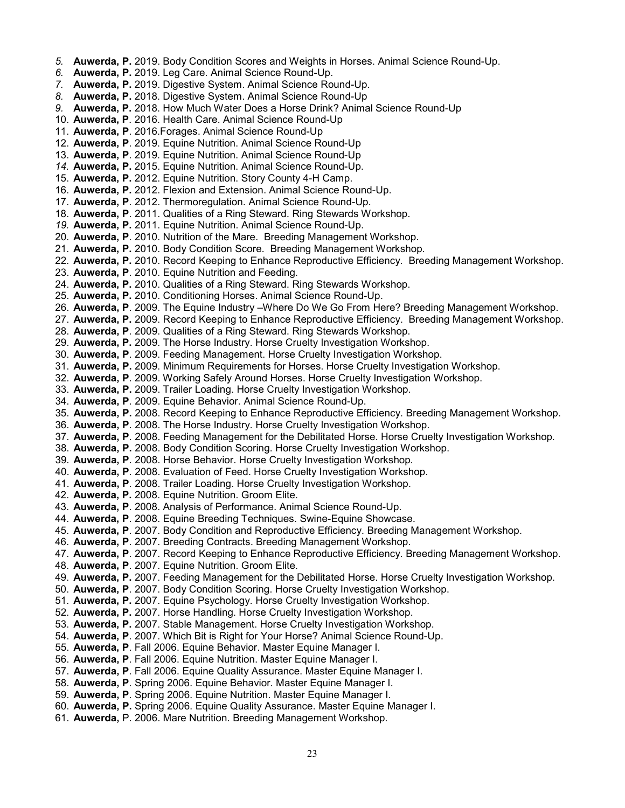- *5.* **Auwerda, P.** 2019. Body Condition Scores and Weights in Horses. Animal Science Round-Up.
- *6.* **Auwerda, P.** 2019. Leg Care. Animal Science Round-Up.
- *7.* **Auwerda, P.** 2019. Digestive System. Animal Science Round-Up.
- *8.* **Auwerda, P.** 2018. Digestive System. Animal Science Round-Up
- *9.* **Auwerda, P.** 2018. How Much Water Does a Horse Drink? Animal Science Round-Up
- 10. **Auwerda, P**. 2016. Health Care. Animal Science Round-Up
- 11. **Auwerda, P**. 2016.Forages. Animal Science Round-Up
- 12. **Auwerda, P**. 2019. Equine Nutrition. Animal Science Round-Up
- 13. **Auwerda, P**. 2019. Equine Nutrition. Animal Science Round-Up
- *14.* **Auwerda, P.** 2015. Equine Nutrition. Animal Science Round-Up.
- 15. **Auwerda, P.** 2012. Equine Nutrition. Story County 4-H Camp.
- 16. **Auwerda, P.** 2012. Flexion and Extension. Animal Science Round-Up.
- 17. **Auwerda, P**. 2012. Thermoregulation. Animal Science Round-Up.
- 18. **Auwerda, P**. 2011. Qualities of a Ring Steward. Ring Stewards Workshop.
- *19.* **Auwerda, P.** 2011. Equine Nutrition. Animal Science Round-Up.
- 20. **Auwerda, P**. 2010. Nutrition of the Mare. Breeding Management Workshop.
- 21. **Auwerda, P.** 2010. Body Condition Score. Breeding Management Workshop*.*
- 22. **Auwerda, P.** 2010. Record Keeping to Enhance Reproductive Efficiency. Breeding Management Workshop.
- 23. **Auwerda, P**. 2010. Equine Nutrition and Feeding.
- 24. **Auwerda, P.** 2010. Qualities of a Ring Steward. Ring Stewards Workshop.
- 25. **Auwerda, P.** 2010. Conditioning Horses. Animal Science Round-Up.
- 26. **Auwerda, P**. 2009. The Equine Industry –Where Do We Go From Here? Breeding Management Workshop.
- 27. **Auwerda, P.** 2009. Record Keeping to Enhance Reproductive Efficiency. Breeding Management Workshop.
- 28. **Auwerda, P**. 2009. Qualities of a Ring Steward. Ring Stewards Workshop.
- 29. **Auwerda, P.** 2009. The Horse Industry. Horse Cruelty Investigation Workshop.
- 30. **Auwerda, P**. 2009. Feeding Management. Horse Cruelty Investigation Workshop.
- 31. **Auwerda, P.** 2009. Minimum Requirements for Horses. Horse Cruelty Investigation Workshop.
- 32. **Auwerda, P**. 2009. Working Safely Around Horses. Horse Cruelty Investigation Workshop.
- 33. **Auwerda, P.** 2009. Trailer Loading. Horse Cruelty Investigation Workshop.
- 34. **Auwerda, P**. 2009. Equine Behavior. Animal Science Round-Up.
- 35. **Auwerda, P.** 2008. Record Keeping to Enhance Reproductive Efficiency. Breeding Management Workshop.
- 36. **Auwerda, P**. 2008. The Horse Industry. Horse Cruelty Investigation Workshop.
- 37. **Auwerda, P**. 2008. Feeding Management for the Debilitated Horse. Horse Cruelty Investigation Workshop*.*
- 38. **Auwerda, P.** 2008. Body Condition Scoring. Horse Cruelty Investigation Workshop.
- 39. **Auwerda, P**. 2008. Horse Behavior. Horse Cruelty Investigation Workshop*.*
- 40. **Auwerda, P**. 2008. Evaluation of Feed. Horse Cruelty Investigation Workshop.
- 41. **Auwerda, P**. 2008. Trailer Loading. Horse Cruelty Investigation Workshop.
- 42. **Auwerda, P.** 2008. Equine Nutrition. Groom Elite.
- 43. **Auwerda, P**. 2008. Analysis of Performance. Animal Science Round-Up.
- 44. **Auwerda, P**. 2008. Equine Breeding Techniques. Swine-Equine Showcase.
- 45. **Auwerda, P**. 2007. Body Condition and Reproductive Efficiency. Breeding Management Workshop.
- 46. **Auwerda, P**. 2007. Breeding Contracts. Breeding Management Workshop.
- 47. **Auwerda, P**. 2007. Record Keeping to Enhance Reproductive Efficiency. Breeding Management Workshop.
- 48. **Auwerda, P**. 2007. Equine Nutrition. Groom Elite.
- 49. **Auwerda, P.** 2007. Feeding Management for the Debilitated Horse. Horse Cruelty Investigation Workshop.
- 50. **Auwerda, P**. 2007. Body Condition Scoring. Horse Cruelty Investigation Workshop.
- 51. **Auwerda, P.** 2007. Equine Psychology. Horse Cruelty Investigation Workshop.
- 52. **Auwerda, P.** 2007. Horse Handling. Horse Cruelty Investigation Workshop.
- 53. **Auwerda, P.** 2007. Stable Management. Horse Cruelty Investigation Workshop.
- 54. **Auwerda, P**. 2007. Which Bit is Right for Your Horse? Animal Science Round-Up.
- 55. **Auwerda, P**. Fall 2006. Equine Behavior. Master Equine Manager I.
- 56. **Auwerda, P**. Fall 2006. Equine Nutrition. Master Equine Manager I.
- 57. **Auwerda, P**. Fall 2006. Equine Quality Assurance. Master Equine Manager I.
- 58. **Auwerda, P**. Spring 2006. Equine Behavior. Master Equine Manager I.
- 59. **Auwerda, P**. Spring 2006. Equine Nutrition. Master Equine Manager I.
- 60. **Auwerda, P.** Spring 2006. Equine Quality Assurance. Master Equine Manager I.
- 61. **Auwerda,** P. 2006. Mare Nutrition. Breeding Management Workshop.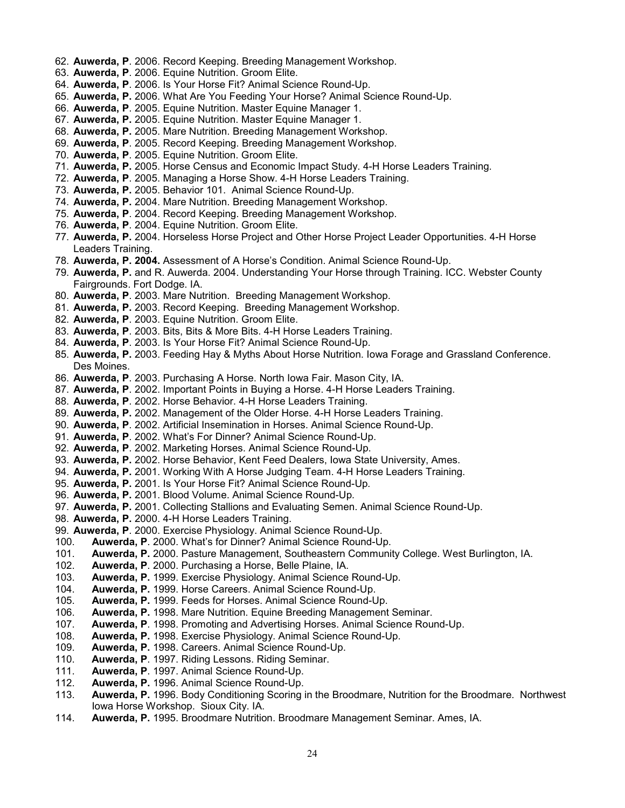- 62. **Auwerda, P**. 2006. Record Keeping. Breeding Management Workshop.
- 63. **Auwerda, P**. 2006. Equine Nutrition. Groom Elite.
- 64. **Auwerda, P**. 2006. Is Your Horse Fit? Animal Science Round-Up.
- 65. **Auwerda, P.** 2006. What Are You Feeding Your Horse? Animal Science Round-Up.
- 66. **Auwerda, P**. 2005. Equine Nutrition. Master Equine Manager 1.
- 67. **Auwerda, P.** 2005. Equine Nutrition. Master Equine Manager 1.
- 68. **Auwerda, P.** 2005. Mare Nutrition. Breeding Management Workshop.
- 69. **Auwerda, P**. 2005. Record Keeping. Breeding Management Workshop.
- 70. **Auwerda, P**. 2005. Equine Nutrition. Groom Elite.
- 71. **Auwerda, P.** 2005. Horse Census and Economic Impact Study. 4-H Horse Leaders Training.
- 72. **Auwerda, P**. 2005. Managing a Horse Show. 4-H Horse Leaders Training.
- 73. **Auwerda, P.** 2005. Behavior 101. Animal Science Round-Up.
- 74. **Auwerda, P.** 2004. Mare Nutrition. Breeding Management Workshop.
- 75. **Auwerda, P**. 2004. Record Keeping. Breeding Management Workshop.
- 76. **Auwerda, P**. 2004. Equine Nutrition. Groom Elite.
- 77. **Auwerda, P.** 2004. Horseless Horse Project and Other Horse Project Leader Opportunities. 4-H Horse Leaders Training.
- 78. **Auwerda, P. 2004.** Assessment of A Horse's Condition. Animal Science Round-Up.
- 79. **Auwerda, P.** and R. Auwerda. 2004. Understanding Your Horse through Training. ICC. Webster County Fairgrounds. Fort Dodge. IA.
- 80. **Auwerda, P**. 2003. Mare Nutrition. Breeding Management Workshop.
- 81. **Auwerda, P.** 2003. Record Keeping. Breeding Management Workshop.
- 82. **Auwerda, P**. 2003. Equine Nutrition. Groom Elite.
- 83. **Auwerda, P**. 2003. Bits, Bits & More Bits. 4-H Horse Leaders Training.
- 84. **Auwerda, P**. 2003. Is Your Horse Fit? Animal Science Round-Up.
- 85. **Auwerda, P.** 2003. Feeding Hay & Myths About Horse Nutrition. Iowa Forage and Grassland Conference. Des Moines.
- 86. **Auwerda, P**. 2003. Purchasing A Horse. North Iowa Fair. Mason City, IA.
- 87. **Auwerda, P**. 2002. Important Points in Buying a Horse. 4-H Horse Leaders Training.
- 88. **Auwerda, P**. 2002. Horse Behavior. 4-H Horse Leaders Training.
- 89. **Auwerda, P.** 2002. Management of the Older Horse. 4-H Horse Leaders Training.
- 90. **Auwerda, P**. 2002. Artificial Insemination in Horses. Animal Science Round-Up.
- 91. **Auwerda, P**. 2002. What's For Dinner? Animal Science Round-Up.
- 92. **Auwerda, P**. 2002. Marketing Horses. Animal Science Round-Up.
- 93. **Auwerda, P.** 2002. Horse Behavior, Kent Feed Dealers, Iowa State University, Ames.
- 94. **Auwerda, P.** 2001. Working With A Horse Judging Team. 4-H Horse Leaders Training.
- 95. **Auwerda, P.** 2001. Is Your Horse Fit? Animal Science Round-Up*.*
- 96. **Auwerda, P.** 2001. Blood Volume. Animal Science Round-Up*.*
- 97. **Auwerda, P.** 2001. Collecting Stallions and Evaluating Semen. Animal Science Round-Up.
- 98. **Auwerda, P.** 2000. 4-H Horse Leaders Training.
- 99. **Auwerda, P**. 2000. Exercise Physiology. Animal Science Round-Up.
- 100. **Auwerda, P**. 2000. What's for Dinner? Animal Science Round-Up.
- 101. **Auwerda, P.** 2000. Pasture Management, Southeastern Community College. West Burlington, IA.
- 102. **Auwerda, P**. 2000. Purchasing a Horse, Belle Plaine, IA.
- 103. **Auwerda, P.** 1999. Exercise Physiology. Animal Science Round-Up.
- Auwerda, P. 1999. Horse Careers. Animal Science Round-Up.
- 105. **Auwerda, P.** 1999. Feeds for Horses. Animal Science Round-Up.
- 106. **Auwerda, P.** 1998. Mare Nutrition. Equine Breeding Management Seminar.
- 107. **Auwerda, P**. 1998. Promoting and Advertising Horses. Animal Science Round-Up.
- 108. **Auwerda, P.** 1998. Exercise Physiology. Animal Science Round-Up.
- Auwerda, P. 1998. Careers. Animal Science Round-Up.
- 110. **Auwerda, P**. 1997. Riding Lessons. Riding Seminar.
- 
- 111. **Auwerda, P**. 1997. Animal Science Round-Up. Auwerda, P. 1996. Animal Science Round-Up.
- 113. **Auwerda, P.** 1996. Body Conditioning Scoring in the Broodmare, Nutrition for the Broodmare. Northwest Iowa Horse Workshop. Sioux City. IA.
- 114. **Auwerda, P.** 1995. Broodmare Nutrition. Broodmare Management Seminar. Ames, IA.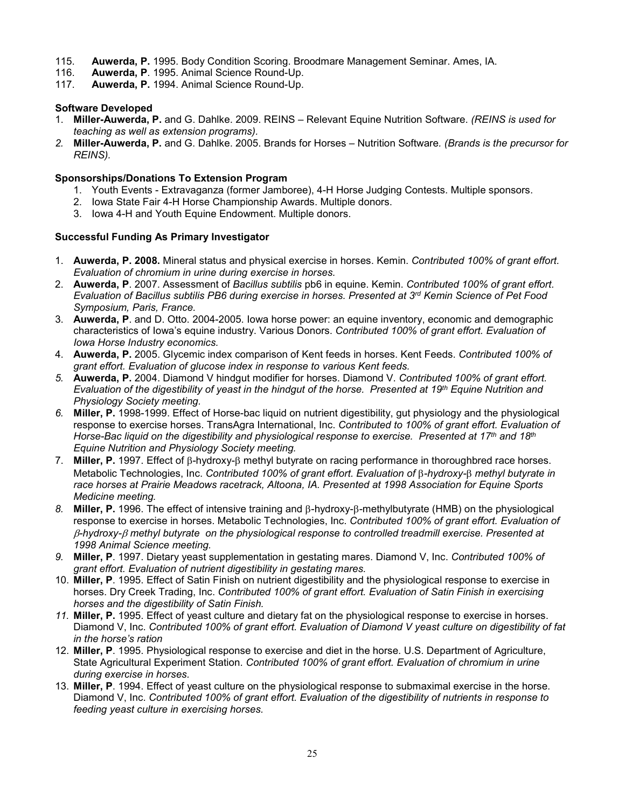- 115. **Auwerda, P.** 1995. Body Condition Scoring. Broodmare Management Seminar. Ames, IA.
- 116. **Auwerda, P**. 1995. Animal Science Round-Up.
- Auwerda, P. 1994. Animal Science Round-Up.

## <span id="page-24-0"></span>**Software Developed**

- 1. **Miller-Auwerda, P.** and G. Dahlke. 2009. REINS Relevant Equine Nutrition Software. *(REINS is used for teaching as well as extension programs).*
- *2.* **Miller-Auwerda, P.** and G. Dahlke. 2005. Brands for Horses Nutrition Software*. (Brands is the precursor for REINS).*

## <span id="page-24-1"></span>**Sponsorships/Donations To Extension Program**

- 1. Youth Events Extravaganza (former Jamboree), 4-H Horse Judging Contests. Multiple sponsors.
- 2. Iowa State Fair 4-H Horse Championship Awards. Multiple donors.
- 3. Iowa 4-H and Youth Equine Endowment. Multiple donors.

## <span id="page-24-2"></span>**Successful Funding As Primary Investigator**

- 1. **Auwerda, P. 2008.** Mineral status and physical exercise in horses. Kemin. *Contributed 100% of grant effort. Evaluation of chromium in urine during exercise in horses.*
- 2. **Auwerda, P**. 2007. Assessment of *Bacillus subtilis* pb6 in equine. Kemin. *Contributed 100% of grant effort. Evaluation of Bacillus subtilis PB6 during exercise in horses. Presented at 3rd Kemin Science of Pet Food Symposium, Paris, France.*
- 3. **Auwerda, P**. and D. Otto. 2004-2005. Iowa horse power: an equine inventory, economic and demographic characteristics of Iowa's equine industry. Various Donors. *Contributed 100% of grant effort. Evaluation of Iowa Horse Industry economics.*
- 4. **Auwerda, P.** 2005. Glycemic index comparison of Kent feeds in horses. Kent Feeds. *Contributed 100% of grant effort. Evaluation of glucose index in response to various Kent feeds.*
- *5.* **Auwerda, P.** 2004. Diamond V hindgut modifier for horses. Diamond V. *Contributed 100% of grant effort. Evaluation of the digestibility of yeast in the hindgut of the horse. Presented at 19th Equine Nutrition and Physiology Society meeting.*
- *6.* **Miller, P.** 1998-1999. Effect of Horse-bac liquid on nutrient digestibility, gut physiology and the physiological response to exercise horses. TransAgra International, Inc. *Contributed to 100% of grant effort. Evaluation of Horse-Bac liquid on the digestibility and physiological response to exercise. Presented at 17th and 18th Equine Nutrition and Physiology Society meeting.*
- 7. **Miller, P.** 1997. Effect of β-hydroxy-β methyl butyrate on racing performance in thoroughbred race horses. Metabolic Technologies, Inc. *Contributed 100% of grant effort. Evaluation of* β*-hydroxy-*β *methyl butyrate in race horses at Prairie Meadows racetrack, Altoona, IA. Presented at 1998 Association for Equine Sports Medicine meeting.*
- *8.* **Miller, P.** 1996. The effect of intensive training and β-hydroxy-β-methylbutyrate (HMB) on the physiological response to exercise in horses. Metabolic Technologies, Inc. *Contributed 100% of grant effort. Evaluation of*  β*-hydroxy-*β *methyl butyrate on the physiological response to controlled treadmill exercise. Presented at 1998 Animal Science meeting.*
- *9.* **Miller, P**. 1997. Dietary yeast supplementation in gestating mares. Diamond V, Inc. *Contributed 100% of grant effort. Evaluation of nutrient digestibility in gestating mares.*
- 10. **Miller, P**. 1995. Effect of Satin Finish on nutrient digestibility and the physiological response to exercise in horses. Dry Creek Trading, Inc. *Contributed 100% of grant effort. Evaluation of Satin Finish in exercising horses and the digestibility of Satin Finish.*
- *11.* **Miller, P.** 1995. Effect of yeast culture and dietary fat on the physiological response to exercise in horses. Diamond V, Inc. *Contributed 100% of grant effort. Evaluation of Diamond V yeast culture on digestibility of fat in the horse's ration*
- 12. **Miller, P**. 1995. Physiological response to exercise and diet in the horse. U.S. Department of Agriculture, State Agricultural Experiment Station. *Contributed 100% of grant effort. Evaluation of chromium in urine during exercise in horses.*
- 13. **Miller, P**. 1994. Effect of yeast culture on the physiological response to submaximal exercise in the horse. Diamond V, Inc. *Contributed 100% of grant effort. Evaluation of the digestibility of nutrients in response to feeding yeast culture in exercising horses.*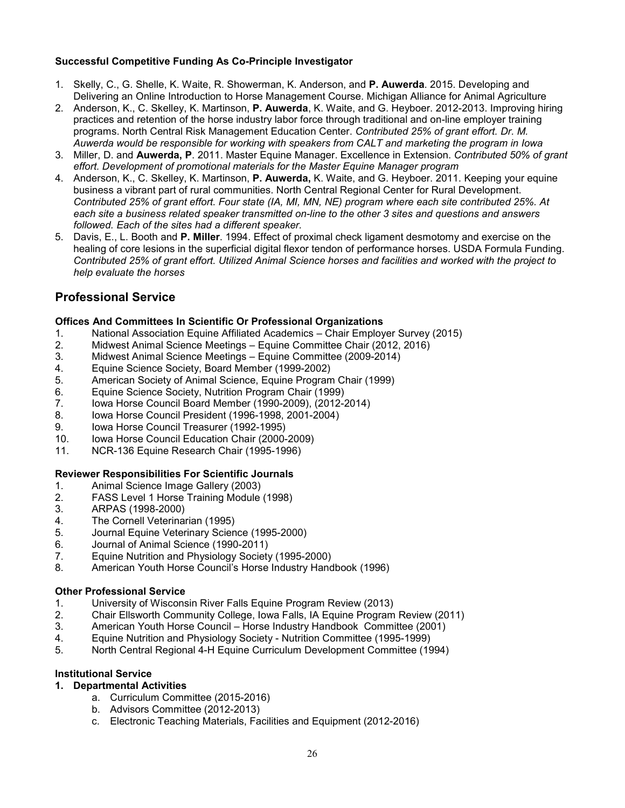## <span id="page-25-0"></span>**Successful Competitive Funding As Co-Principle Investigator**

- 1. Skelly, C., G. Shelle, K. Waite, R. Showerman, K. Anderson, and **P. Auwerda**. 2015. Developing and Delivering an Online Introduction to Horse Management Course. Michigan Alliance for Animal Agriculture
- 2. Anderson, K., C. Skelley, K. Martinson, **P. Auwerda**, K. Waite, and G. Heyboer. 2012-2013. Improving hiring practices and retention of the horse industry labor force through traditional and on-line employer training programs. North Central Risk Management Education Center. *Contributed 25% of grant effort. Dr. M. Auwerda would be responsible for working with speakers from CALT and marketing the program in Iowa*
- 3. Miller, D. and **Auwerda, P**. 2011. Master Equine Manager. Excellence in Extension. *Contributed 50% of grant effort. Development of promotional materials for the Master Equine Manager program*
- 4. Anderson, K., C. Skelley, K. Martinson, **P. Auwerda,** K. Waite, and G. Heyboer. 2011. Keeping your equine business a vibrant part of rural communities. North Central Regional Center for Rural Development. *Contributed 25% of grant effort. Four state (IA, MI, MN, NE) program where each site contributed 25%. At each site a business related speaker transmitted on-line to the other 3 sites and questions and answers followed. Each of the sites had a different speaker.*
- 5. Davis, E., L. Booth and **P. Miller**. 1994. Effect of proximal check ligament desmotomy and exercise on the healing of core lesions in the superficial digital flexor tendon of performance horses. USDA Formula Funding. *Contributed 25% of grant effort. Utilized Animal Science horses and facilities and worked with the project to help evaluate the horses*

# <span id="page-25-1"></span>**Professional Service**

## <span id="page-25-2"></span>**Offices And Committees In Scientific Or Professional Organizations**

- 1. National Association Equine Affiliated Academics Chair Employer Survey (2015)
- 2. Midwest Animal Science Meetings Equine Committee Chair (2012, 2016)
- 3. Midwest Animal Science Meetings Equine Committee (2009-2014)
- 4. Equine Science Society, Board Member (1999-2002)
- 5. American Society of Animal Science, Equine Program Chair (1999)
- 6. Equine Science Society, Nutrition Program Chair (1999)
- 7. Iowa Horse Council Board Member (1990-2009), (2012-2014)
- 8. Iowa Horse Council President (1996-1998, 2001-2004)
- 9. Iowa Horse Council Treasurer (1992-1995)<br>10. Iowa Horse Council Education Chair (2000-
- 10. Iowa Horse Council Education Chair (2000-2009)
- 11. NCR-136 Equine Research Chair (1995-1996)

## <span id="page-25-3"></span>**Reviewer Responsibilities For Scientific Journals**

- 1. Animal Science Image Gallery (2003)
- 2. FASS Level 1 Horse Training Module (1998)
- 3. ARPAS (1998-2000)<br>4. The Cornell Veterinal
- The Cornell Veterinarian (1995)
- 5. Journal Equine Veterinary Science (1995-2000)<br>6. Journal of Animal Science (1990-2011)
- 6. Journal of Animal Science (1990-2011)
- Equine Nutrition and Physiology Society (1995-2000)
- 8. American Youth Horse Council's Horse Industry Handbook (1996)

### <span id="page-25-4"></span>**Other Professional Service**

- 1. University of Wisconsin River Falls Equine Program Review (2013)
- 2. Chair Ellsworth Community College, Iowa Falls, IA Equine Program Review (2011)
- 3. American Youth Horse Council Horse Industry Handbook Committee (2001)
- 4. Equine Nutrition and Physiology Society Nutrition Committee (1995-1999)
- 5. North Central Regional 4-H Equine Curriculum Development Committee (1994)

## <span id="page-25-5"></span>**Institutional Service**

### **1. Departmental Activities**

- a. Curriculum Committee (2015-2016)
- b. Advisors Committee (2012-2013)
- c. Electronic Teaching Materials, Facilities and Equipment (2012-2016)